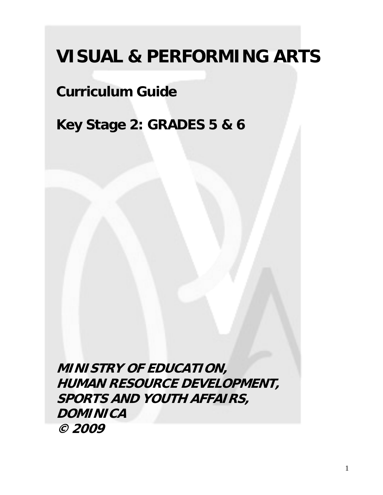# **VISUAL & PERFORMING ARTS**

# **Curriculum Guide**

**Key Stage 2: GRADES 5 & 6** 

**MINISTRY OF EDUCATION, HUMAN RESOURCE DEVELOPMENT, SPORTS AND YOUTH AFFAIRS, DOMINICA © 2009**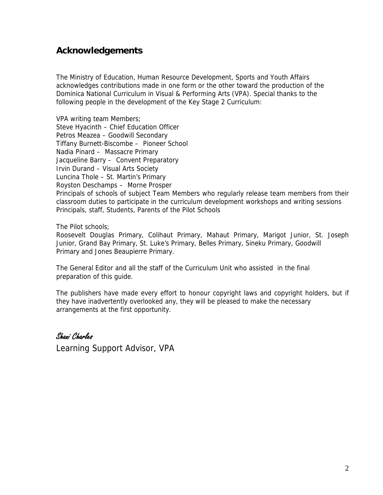#### **Acknowledgements**

The Ministry of Education, Human Resource Development, Sports and Youth Affairs acknowledges contributions made in one form or the other toward the production of the Dominica National Curriculum in Visual & Performing Arts (VPA). Special thanks to the following people in the development of the Key Stage 2 Curriculum:

VPA writing team Members;

Steve Hyacinth – Chief Education Officer Petros Meazea – Goodwill Secondary

Tiffany Burnett-Biscombe – Pioneer School

Nadia Pinard – Massacre Primary

Jacqueline Barry – Convent Preparatory

Irvin Durand – Visual Arts Society

Luncina Thole – St. Martin's Primary

Royston Deschamps – Morne Prosper

Principals of schools of subject Team Members who regularly release team members from their classroom duties to participate in the curriculum development workshops and writing sessions Principals, staff, Students, Parents of the Pilot Schools

The Pilot schools;

Roosevelt Douglas Primary, Colihaut Primary, Mahaut Primary, Marigot Junior, St. Joseph Junior, Grand Bay Primary, St. Luke's Primary, Belles Primary, Sineku Primary, Goodwill Primary and Jones Beaupierre Primary.

The General Editor and all the staff of the Curriculum Unit who assisted in the final preparation of this guide.

The publishers have made every effort to honour copyright laws and copyright holders, but if they have inadvertently overlooked any, they will be pleased to make the necessary arrangements at the first opportunity.

Shani Charles

Learning Support Advisor, VPA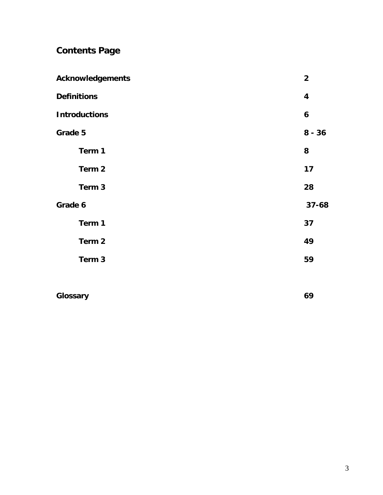## **Contents Page**

| <b>Acknowledgements</b> | $\overline{2}$ |
|-------------------------|----------------|
| <b>Definitions</b>      | 4              |
| <b>Introductions</b>    | 6              |
| Grade 5                 | $8 - 36$       |
| Term 1                  | 8              |
| Term 2                  | 17             |
| Term 3                  | 28             |
| Grade 6                 | $37 - 68$      |
| Term 1                  | 37             |
| Term 2                  | 49             |
| Term 3                  | 59             |
|                         |                |
|                         |                |

| 69 |
|----|
|    |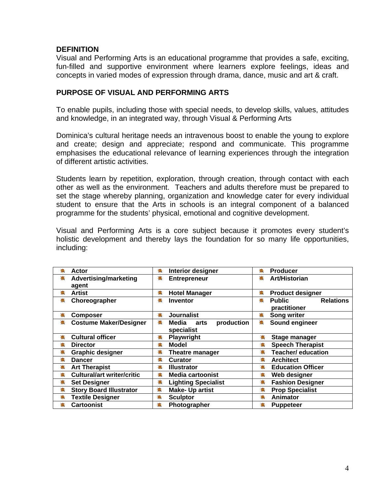#### **DEFINITION**

Visual and Performing Arts is an educational programme that provides a safe, exciting, fun-filled and supportive environment where learners explore feelings, ideas and concepts in varied modes of expression through drama, dance, music and art & craft.

#### **PURPOSE OF VISUAL AND PERFORMING ARTS**

To enable pupils, including those with special needs, to develop skills, values, attitudes and knowledge, in an integrated way, through Visual & Performing Arts

Dominica's cultural heritage needs an intravenous boost to enable the young to explore and create; design and appreciate; respond and communicate. This programme emphasises the educational relevance of learning experiences through the integration of different artistic activities.

Students learn by repetition, exploration, through creation, through contact with each other as well as the environment. Teachers and adults therefore must be prepared to set the stage whereby planning, organization and knowledge cater for every individual student to ensure that the Arts in schools is an integral component of a balanced programme for the students' physical, emotional and cognitive development.

Visual and Performing Arts is a core subject because it promotes every student's holistic development and thereby lays the foundation for so many life opportunities, including:

| ۰                                  | 臺                                              | <b>Producer</b>                                        |
|------------------------------------|------------------------------------------------|--------------------------------------------------------|
| Actor                              | <b>Interior designer</b>                       | ٠                                                      |
| Advertising/marketing              | 毒                                              | Art/Historian                                          |
| 毒                                  | <b>Entrepreneur</b>                            | 銮                                                      |
| agent                              |                                                |                                                        |
| 礒                                  | 毒                                              | 姜                                                      |
| <b>Artist</b>                      | <b>Hotel Manager</b>                           | <b>Product designer</b>                                |
| 稁<br>Choreographer                 | <b>Inventor</b><br>毒                           | <b>Relations</b><br><b>Public</b><br>稁<br>practitioner |
| 睾                                  | <b>Journalist</b>                              | Song writer                                            |
| <b>Composer</b>                    | 毫                                              | 毒                                                      |
| <b>Costume Maker/Designer</b><br>毒 | production<br>稁<br>Media<br>arts<br>specialist | Sound engineer<br>稁                                    |
| 妻                                  | 毒                                              | 毒                                                      |
| <b>Cultural officer</b>            | <b>Playwright</b>                              | Stage manager                                          |
| 銮                                  | <b>Model</b>                                   | 毒                                                      |
| <b>Director</b>                    | 臺                                              | <b>Speech Therapist</b>                                |
| ♣                                  | ♣                                              | 柰                                                      |
| <b>Graphic designer</b>            | <b>Theatre manager</b>                         | <b>Teacher/ education</b>                              |
| 毒                                  | ♣                                              | ۰                                                      |
| <b>Dancer</b>                      | <b>Curator</b>                                 | <b>Architect</b>                                       |
| 毒                                  | 楽                                              | 柰                                                      |
| <b>Art Therapist</b>               | <b>Illustrator</b>                             | <b>Education Officer</b>                               |
| <b>Cultural/art writer/critic</b>  | <b>Media cartoonist</b>                        | 毒                                                      |
| 美                                  | 美                                              | Web designer                                           |
| 妻                                  | 姜                                              | 熹                                                      |
| <b>Set Designer</b>                | <b>Lighting Specialist</b>                     | <b>Fashion Designer</b>                                |
| $\clubsuit$                        | ☀                                              | $\clubsuit$                                            |
| <b>Story Board Illustrator</b>     | <b>Make-Up artist</b>                          | <b>Prop Specialist</b>                                 |
| ۰                                  | ۰                                              | <b>Animator</b>                                        |
| <b>Textile Designer</b>            | <b>Sculptor</b>                                | 磯                                                      |
| 毒                                  | 柰                                              | 毒                                                      |
| <b>Cartoonist</b>                  | Photographer                                   | <b>Puppeteer</b>                                       |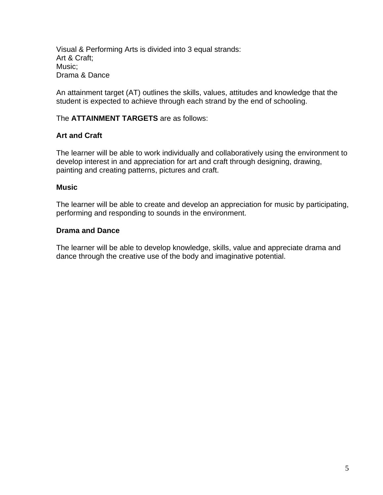Visual & Performing Arts is divided into 3 equal strands: Art & Craft; Music; Drama & Dance

An attainment target (AT) outlines the skills, values, attitudes and knowledge that the student is expected to achieve through each strand by the end of schooling.

#### The **ATTAINMENT TARGETS** are as follows:

#### **Art and Craft**

The learner will be able to work individually and collaboratively using the environment to develop interest in and appreciation for art and craft through designing, drawing, painting and creating patterns, pictures and craft.

#### **Music**

The learner will be able to create and develop an appreciation for music by participating, performing and responding to sounds in the environment.

#### **Drama and Dance**

The learner will be able to develop knowledge, skills, value and appreciate drama and dance through the creative use of the body and imaginative potential.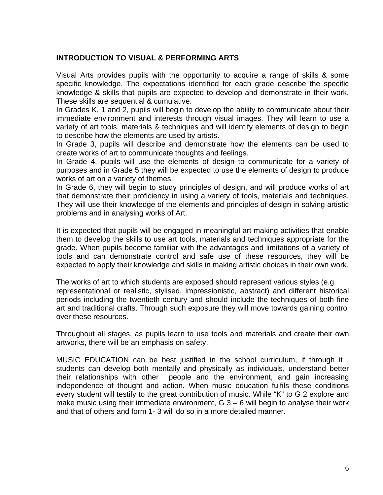#### **INTRODUCTION TO VISUAL & PERFORMING ARTS**

Visual Arts provides pupils with the opportunity to acquire a range of skills & some specific knowledge. The expectations identified for each grade describe the specific knowledge & skills that pupils are expected to develop and demonstrate in their work. These skills are sequential & cumulative.

In Grades K, 1 and 2, pupils will begin to develop the ability to communicate about their immediate environment and interests through visual images. They will learn to use a variety of art tools, materials & techniques and will identify elements of design to begin to describe how the elements are used by artists.

In Grade 3, pupils will describe and demonstrate how the elements can be used to create works of art to communicate thoughts and feelings.

In Grade 4, pupils will use the elements of design to communicate for a variety of purposes and in Grade 5 they will be expected to use the elements of design to produce works of art on a variety of themes.

In Grade 6, they will begin to study principles of design, and will produce works of art that demonstrate their proficiency in using a variety of tools, materials and techniques. They will use their knowledge of the elements and principles of design in solving artistic problems and in analysing works of Art.

It is expected that pupils will be engaged in meaningful art-making activities that enable them to develop the skills to use art tools, materials and techniques appropriate for the grade. When pupils become familiar with the advantages and limitations of a variety of tools and can demonstrate control and safe use of these resources, they will be expected to apply their knowledge and skills in making artistic choices in their own work.

The works of art to which students are exposed should represent various styles (e.g. representational or realistic, stylised, impressionistic, abstract) and different historical periods including the twentieth century and should include the techniques of both fine art and traditional crafts. Through such exposure they will move towards gaining control over these resources.

Throughout all stages, as pupils learn to use tools and materials and create their own artworks, there will be an emphasis on safety.

MUSIC EDUCATION can be best justified in the school curriculum, if through it , students can develop both mentally and physically as individuals, understand better their relationships with other people and the environment, and gain increasing independence of thought and action. When music education fulfils these conditions every student will testify to the great contribution of music. While "K" to G 2 explore and make music using their immediate environment,  $G_3 - 6$  will begin to analyse their work and that of others and form 1- 3 will do so in a more detailed manner.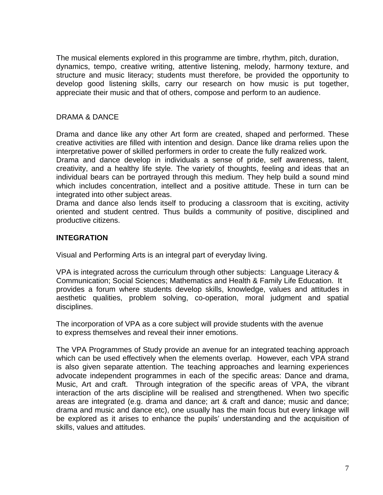The musical elements explored in this programme are timbre, rhythm, pitch, duration, dynamics, tempo, creative writing, attentive listening, melody, harmony texture, and structure and music literacy; students must therefore, be provided the opportunity to develop good listening skills, carry our research on how music is put together, appreciate their music and that of others, compose and perform to an audience.

#### DRAMA & DANCE

Drama and dance like any other Art form are created, shaped and performed. These creative activities are filled with intention and design. Dance like drama relies upon the interpretative power of skilled performers in order to create the fully realized work.

Drama and dance develop in individuals a sense of pride, self awareness, talent, creativity, and a healthy life style. The variety of thoughts, feeling and ideas that an individual bears can be portrayed through this medium. They help build a sound mind which includes concentration, intellect and a positive attitude. These in turn can be integrated into other subject areas.

Drama and dance also lends itself to producing a classroom that is exciting, activity oriented and student centred. Thus builds a community of positive, disciplined and productive citizens.

#### **INTEGRATION**

Visual and Performing Arts is an integral part of everyday living.

VPA is integrated across the curriculum through other subjects: Language Literacy & Communication; Social Sciences; Mathematics and Health & Family Life Education. It provides a forum where students develop skills, knowledge, values and attitudes in aesthetic qualities, problem solving, co-operation, moral judgment and spatial disciplines.

The incorporation of VPA as a core subject will provide students with the avenue to express themselves and reveal their inner emotions.

The VPA Programmes of Study provide an avenue for an integrated teaching approach which can be used effectively when the elements overlap. However, each VPA strand is also given separate attention. The teaching approaches and learning experiences advocate independent programmes in each of the specific areas: Dance and drama, Music, Art and craft. Through integration of the specific areas of VPA, the vibrant interaction of the arts discipline will be realised and strengthened. When two specific areas are integrated (e.g. drama and dance; art & craft and dance; music and dance; drama and music and dance etc), one usually has the main focus but every linkage will be explored as it arises to enhance the pupils' understanding and the acquisition of skills, values and attitudes.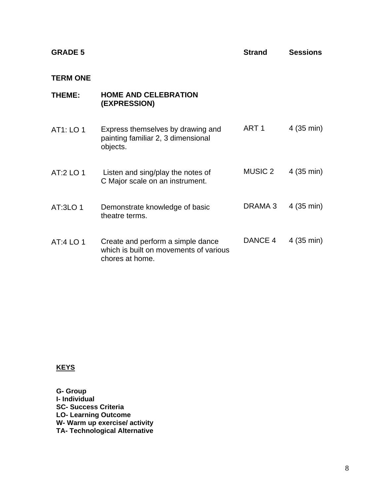| <b>GRADE 5</b>  |                                                                                                | <b>Strand</b>    | <b>Sessions</b> |
|-----------------|------------------------------------------------------------------------------------------------|------------------|-----------------|
| <b>TERM ONE</b> |                                                                                                |                  |                 |
| THEME:          | <b>HOME AND CELEBRATION</b><br>(EXPRESSION)                                                    |                  |                 |
| AT1: LO 1       | Express themselves by drawing and<br>painting familiar 2, 3 dimensional<br>objects.            | ART <sub>1</sub> | 4 (35 min)      |
| AT:2 LO 1       | Listen and sing/play the notes of<br>C Major scale on an instrument.                           | <b>MUSIC 2</b>   | 4 (35 min)      |
| AT:3LO 1        | Demonstrate knowledge of basic<br>theatre terms.                                               | DRAMA 3          | 4 (35 min)      |
| AT:4 LO 1       | Create and perform a simple dance<br>which is built on movements of various<br>chores at home. | DANCE 4          | 4 (35 min)      |

**KEYS**

**G- Group I- Individual SC- Success Criteria LO- Learning Outcome W- Warm up exercise/ activity TA- Technological Alternative**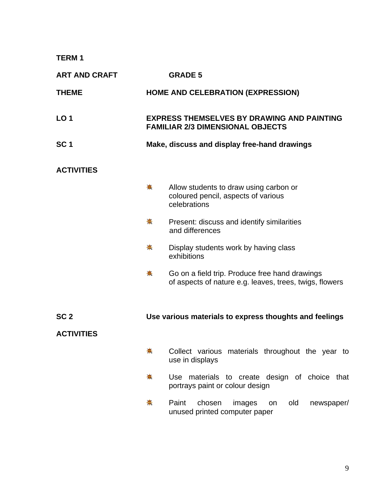**TERM 1** 

| <b>ART AND CRAFT</b>                 |             | <b>GRADE 5</b>                                                                                            |
|--------------------------------------|-------------|-----------------------------------------------------------------------------------------------------------|
| <b>THEME</b>                         |             | <b>HOME AND CELEBRATION (EXPRESSION)</b>                                                                  |
| LO <sub>1</sub>                      |             | <b>EXPRESS THEMSELVES BY DRAWING AND PAINTING</b><br><b>FAMILIAR 2/3 DIMENSIONAL OBJECTS</b>              |
| SC <sub>1</sub>                      |             | Make, discuss and display free-hand drawings                                                              |
| <b>ACTIVITIES</b>                    |             |                                                                                                           |
|                                      | ₩           | Allow students to draw using carbon or<br>coloured pencil, aspects of various<br>celebrations             |
|                                      | ♣.          | Present: discuss and identify similarities<br>and differences                                             |
|                                      | $\clubsuit$ | Display students work by having class<br>exhibitions                                                      |
|                                      | 豪           | Go on a field trip. Produce free hand drawings<br>of aspects of nature e.g. leaves, trees, twigs, flowers |
| SC <sub>2</sub><br><b>ACTIVITIES</b> |             | Use various materials to express thoughts and feelings                                                    |
|                                      | ₩           | Collect various materials throughout the year to<br>use in displays                                       |
|                                      | ₩.          | Use materials to create design of choice that<br>portrays paint or colour design                          |
|                                      | 帯           | Paint<br>chosen<br>old<br>newspaper/<br>images<br>on<br>unused printed computer paper                     |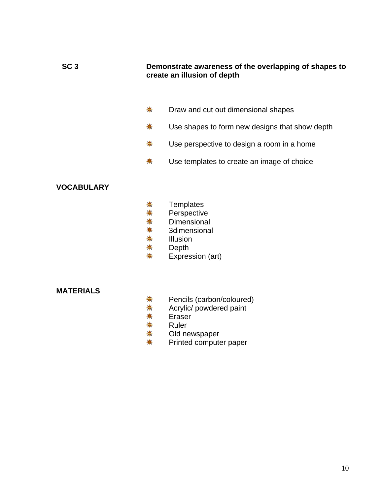#### **SC 3 Demonstrate awareness of the overlapping of shapes to create an illusion of depth**

- Draw and cut out dimensional shapes ₩.
- 斋 Use shapes to form new designs that show depth
- ₩. Use perspective to design a room in a home
- ₩. Use templates to create an image of choice

#### **VOCABULARY**

- ₩. **Templates**
- 兼 **Perspective**
- \* **Dimensional**
- ♣. 3dimensional
- ₩. Illusion
- $\frac{1}{2}$ Depth
- ₩. Expression (art)

#### **MATERIALS**

- <del>\*</del> Pencils (carbon/coloured)
- 蒂. Acrylic/ powdered paint
- ₩. Eraser
- ₩. Ruler
- ₩. Old newspaper
- 兼 Printed computer paper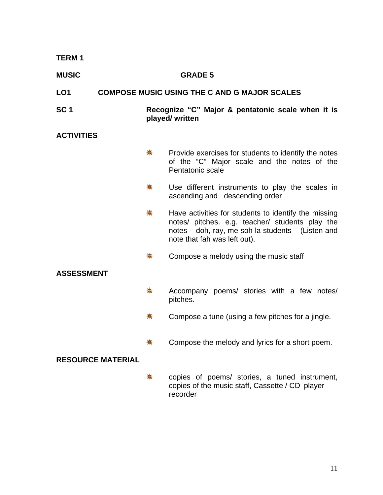| <b>TERM1</b>             |                                                                      |                                                                                                                                                                                               |
|--------------------------|----------------------------------------------------------------------|-----------------------------------------------------------------------------------------------------------------------------------------------------------------------------------------------|
| <b>MUSIC</b>             |                                                                      | <b>GRADE 5</b>                                                                                                                                                                                |
| LO <sub>1</sub>          |                                                                      | <b>COMPOSE MUSIC USING THE C AND G MAJOR SCALES</b>                                                                                                                                           |
| SC <sub>1</sub>          | Recognize "C" Major & pentatonic scale when it is<br>played/ written |                                                                                                                                                                                               |
| <b>ACTIVITIES</b>        |                                                                      |                                                                                                                                                                                               |
|                          | ♣                                                                    | Provide exercises for students to identify the notes<br>of the "C" Major scale and the notes of the<br>Pentatonic scale                                                                       |
|                          | ♣                                                                    | Use different instruments to play the scales in<br>ascending and descending order                                                                                                             |
|                          | ♣                                                                    | Have activities for students to identify the missing<br>notes/ pitches. e.g. teacher/ students play the<br>notes - doh, ray, me soh la students - (Listen and<br>note that fah was left out). |
|                          | 兼                                                                    | Compose a melody using the music staff                                                                                                                                                        |
| <b>ASSESSMENT</b>        |                                                                      |                                                                                                                                                                                               |
|                          | ☀                                                                    | Accompany poems/ stories with a few notes/<br>pitches.                                                                                                                                        |
|                          | 픟                                                                    | Compose a tune (using a few pitches for a jingle.                                                                                                                                             |
|                          |                                                                      | Compose the melody and lyrics for a short poem.                                                                                                                                               |
| <b>RESOURCE MATERIAL</b> |                                                                      |                                                                                                                                                                                               |
|                          | ♣                                                                    | copies of poems/ stories, a tuned instrument,<br>copies of the music staff, Cassette / CD player<br>recorder                                                                                  |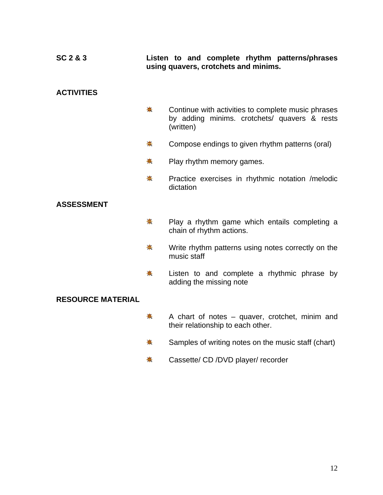#### **SC 2 & 3 Listen to and complete rhythm patterns/phrases using quavers, crotchets and minims.**

#### **ACTIVITIES**

- ₩. Continue with activities to complete music phrases by adding minims. crotchets/ quavers & rests (written)
- $\bigstar$ Compose endings to given rhythm patterns (oral)
- 秦. Play rhythm memory games.
- $\frac{1}{2}$ Practice exercises in rhythmic notation /melodic dictation

#### **ASSESSMENT**

- ☀. Play a rhythm game which entails completing a chain of rhythm actions.
- <del>☀</del> Write rhythm patterns using notes correctly on the music staff
- ₩. Listen to and complete a rhythmic phrase by adding the missing note

#### **RESOURCE MATERIAL**

- ₩. A chart of notes – quaver, crotchet, minim and their relationship to each other.
- ₩. Samples of writing notes on the music staff (chart)
- ₩. Cassette/ CD /DVD player/ recorder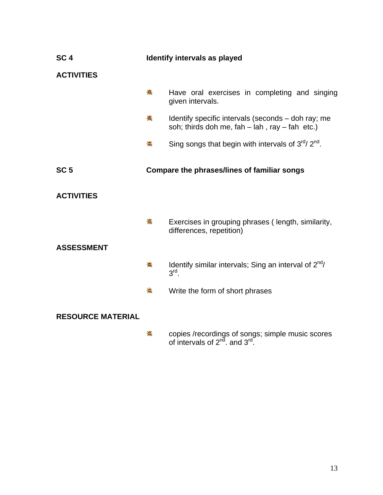| SC <sub>4</sub>          | Identify intervals as played |                                                                                                           |
|--------------------------|------------------------------|-----------------------------------------------------------------------------------------------------------|
| <b>ACTIVITIES</b>        |                              |                                                                                                           |
|                          | *                            | Have oral exercises in completing and singing<br>given intervals.                                         |
|                          | 秦                            | Identify specific intervals (seconds – doh ray; me<br>soh; thirds doh me, $fah - lah$ , ray $- fah$ etc.) |
|                          | ♣                            | Sing songs that begin with intervals of $3^{\text{rd}}$ $2^{\text{nd}}$ .                                 |
| SC <sub>5</sub>          |                              | Compare the phrases/lines of familiar songs                                                               |
| <b>ACTIVITIES</b>        |                              |                                                                                                           |
|                          | 贵                            | Exercises in grouping phrases (length, similarity,<br>differences, repetition)                            |
| <b>ASSESSMENT</b>        |                              |                                                                                                           |
|                          | ♣.                           | Identify similar intervals; Sing an interval of $2^{nd}$ /<br>$3rd$ .                                     |
|                          | ♣                            | Write the form of short phrases                                                                           |
| <b>RESOURCE MATERIAL</b> |                              |                                                                                                           |
|                          | ₩                            | copies /recordings of songs; simple music scores<br>of intervals of $2^{nd}$ and $3^{rd}$ .               |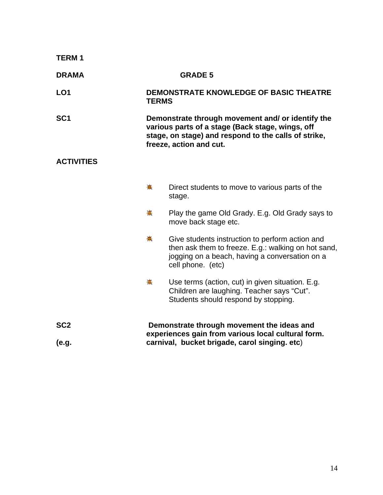| <b>TERM1</b>      |                                                                                                                                                                                          |                                                                                                                                                                               |  |
|-------------------|------------------------------------------------------------------------------------------------------------------------------------------------------------------------------------------|-------------------------------------------------------------------------------------------------------------------------------------------------------------------------------|--|
| <b>DRAMA</b>      | <b>GRADE 5</b>                                                                                                                                                                           |                                                                                                                                                                               |  |
| LO <sub>1</sub>   | <b>TERMS</b>                                                                                                                                                                             | DEMONSTRATE KNOWLEDGE OF BASIC THEATRE                                                                                                                                        |  |
| SC <sub>1</sub>   | Demonstrate through movement and/ or identify the<br>various parts of a stage (Back stage, wings, off<br>stage, on stage) and respond to the calls of strike,<br>freeze, action and cut. |                                                                                                                                                                               |  |
| <b>ACTIVITIES</b> |                                                                                                                                                                                          |                                                                                                                                                                               |  |
|                   | ♣                                                                                                                                                                                        | Direct students to move to various parts of the<br>stage.                                                                                                                     |  |
|                   | 兼                                                                                                                                                                                        | Play the game Old Grady. E.g. Old Grady says to<br>move back stage etc.                                                                                                       |  |
|                   | ♣                                                                                                                                                                                        | Give students instruction to perform action and<br>then ask them to freeze. E.g.: walking on hot sand,<br>jogging on a beach, having a conversation on a<br>cell phone. (etc) |  |
|                   | ₩.                                                                                                                                                                                       | Use terms (action, cut) in given situation. E.g.<br>Children are laughing. Teacher says "Cut".<br>Students should respond by stopping.                                        |  |
| SC <sub>2</sub>   |                                                                                                                                                                                          | Demonstrate through movement the ideas and                                                                                                                                    |  |
| (e.g.             |                                                                                                                                                                                          | experiences gain from various local cultural form.<br>carnival, bucket brigade, carol singing. etc)                                                                           |  |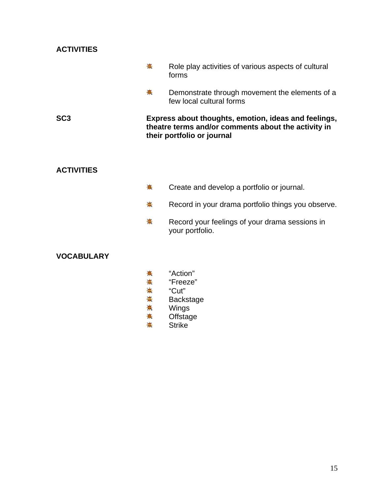| <b>ACTIVITIES</b> |   |                                                                                                                                           |
|-------------------|---|-------------------------------------------------------------------------------------------------------------------------------------------|
|                   | ♣ | Role play activities of various aspects of cultural<br>forms                                                                              |
|                   | ☀ | Demonstrate through movement the elements of a<br>few local cultural forms                                                                |
| SC <sub>3</sub>   |   | Express about thoughts, emotion, ideas and feelings,<br>theatre terms and/or comments about the activity in<br>their portfolio or journal |

#### **ACTIVITIES**

- Create and develop a portfolio or journal. ₩.
- Record in your drama portfolio things you observe. <del>‡</del>
- Record your feelings of your drama sessions in \* your portfolio.

- \* "Action"
- "Freeze"
- "Cut"
- Backstage
- 米米米米 Wings
- \* **Offstage**
- Strike<sup>'</sup> \*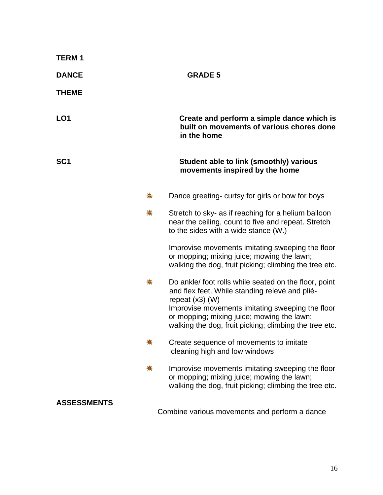| <b>TERM1</b>       |                                                                                                                                                                                                                                |
|--------------------|--------------------------------------------------------------------------------------------------------------------------------------------------------------------------------------------------------------------------------|
| <b>DANCE</b>       | <b>GRADE 5</b>                                                                                                                                                                                                                 |
| <b>THEME</b>       |                                                                                                                                                                                                                                |
| LO <sub>1</sub>    | Create and perform a simple dance which is<br>built on movements of various chores done<br>in the home                                                                                                                         |
| SC <sub>1</sub>    | Student able to link (smoothly) various<br>movements inspired by the home                                                                                                                                                      |
| 崙                  | Dance greeting- curtsy for girls or bow for boys                                                                                                                                                                               |
| 事                  | Stretch to sky- as if reaching for a helium balloon<br>near the ceiling, count to five and repeat. Stretch<br>to the sides with a wide stance (W.)                                                                             |
|                    | Improvise movements imitating sweeping the floor<br>or mopping; mixing juice; mowing the lawn;<br>walking the dog, fruit picking; climbing the tree etc.                                                                       |
| 兼                  | Do ankle/ foot rolls while seated on the floor, point<br>and flex feet. While standing relevé and plié-<br>repeat $(x3)$ (W)<br>Improvise movements imitating sweeping the floor<br>or mopping; mixing juice; mowing the lawn; |
|                    | walking the dog, fruit picking; climbing the tree etc.                                                                                                                                                                         |
| 稁                  | Create sequence of movements to imitate<br>cleaning high and low windows                                                                                                                                                       |
| ♣                  | Improvise movements imitating sweeping the floor<br>or mopping; mixing juice; mowing the lawn;<br>walking the dog, fruit picking; climbing the tree etc.                                                                       |
| <b>ASSESSMENTS</b> | Combine various movements and perform a dance                                                                                                                                                                                  |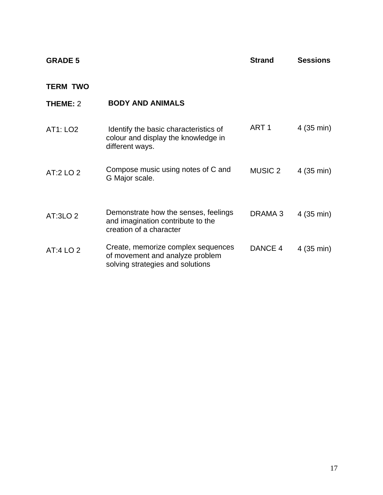| <b>GRADE 5</b>  |                                                                                                           | <b>Strand</b>      | <b>Sessions</b> |
|-----------------|-----------------------------------------------------------------------------------------------------------|--------------------|-----------------|
| <b>TERM TWO</b> |                                                                                                           |                    |                 |
| <b>THEME: 2</b> | <b>BODY AND ANIMALS</b>                                                                                   |                    |                 |
| AT1: LO2        | Identify the basic characteristics of<br>colour and display the knowledge in<br>different ways.           | ART <sub>1</sub>   | 4 (35 min)      |
| AT:2 LO 2       | Compose music using notes of C and<br>G Major scale.                                                      | <b>MUSIC 2</b>     | 4 (35 min)      |
| AT:3LO 2        | Demonstrate how the senses, feelings<br>and imagination contribute to the<br>creation of a character      | DRAMA <sub>3</sub> | 4 (35 min)      |
| AT:4 LO 2       | Create, memorize complex sequences<br>of movement and analyze problem<br>solving strategies and solutions | DANCE 4            | 4 (35 min)      |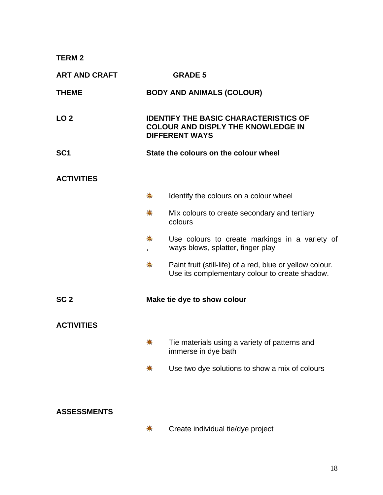**TERM 2** 

| <b>ART AND CRAFT</b> |                                       | <b>GRADE 5</b>                                                                                                     |
|----------------------|---------------------------------------|--------------------------------------------------------------------------------------------------------------------|
| <b>THEME</b>         |                                       | <b>BODY AND ANIMALS (COLOUR)</b>                                                                                   |
| LO <sub>2</sub>      |                                       | <b>IDENTIFY THE BASIC CHARACTERISTICS OF</b><br><b>COLOUR AND DISPLY THE KNOWLEDGE IN</b><br><b>DIFFERENT WAYS</b> |
| SC <sub>1</sub>      | State the colours on the colour wheel |                                                                                                                    |
| <b>ACTIVITIES</b>    |                                       |                                                                                                                    |
|                      | ♣                                     | Identify the colours on a colour wheel                                                                             |
|                      | 事                                     | Mix colours to create secondary and tertiary<br>colours                                                            |
|                      | $\frac{1}{2}$<br>$\overline{ }$       | Use colours to create markings in a variety of<br>ways blows, splatter, finger play                                |
|                      | 壳                                     | Paint fruit (still-life) of a red, blue or yellow colour.<br>Use its complementary colour to create shadow.        |
| SC <sub>2</sub>      |                                       | Make tie dye to show colour                                                                                        |
| <b>ACTIVITIES</b>    |                                       |                                                                                                                    |
|                      | 壳                                     | Tie materials using a variety of patterns and<br>immerse in dye bath                                               |
|                      | ₩                                     | Use two dye solutions to show a mix of colours                                                                     |
|                      |                                       |                                                                                                                    |
| <b>ASSESSMENTS</b>   |                                       |                                                                                                                    |

兼 Create individual tie/dye project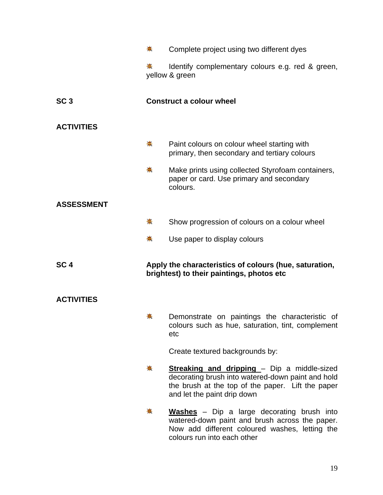|                   | ♣           | Complete project using two different dyes                                                                                                                                                   |
|-------------------|-------------|---------------------------------------------------------------------------------------------------------------------------------------------------------------------------------------------|
|                   | ♣           | Identify complementary colours e.g. red & green,<br>yellow & green                                                                                                                          |
| SC <sub>3</sub>   |             | <b>Construct a colour wheel</b>                                                                                                                                                             |
| <b>ACTIVITIES</b> |             |                                                                                                                                                                                             |
|                   | $\clubsuit$ | Paint colours on colour wheel starting with<br>primary, then secondary and tertiary colours                                                                                                 |
|                   | $\clubsuit$ | Make prints using collected Styrofoam containers,<br>paper or card. Use primary and secondary<br>colours.                                                                                   |
| <b>ASSESSMENT</b> |             |                                                                                                                                                                                             |
|                   | 崇           | Show progression of colours on a colour wheel                                                                                                                                               |
|                   | ♣           | Use paper to display colours                                                                                                                                                                |
| SC <sub>4</sub>   |             | Apply the characteristics of colours (hue, saturation,<br>brightest) to their paintings, photos etc                                                                                         |
| <b>ACTIVITIES</b> |             |                                                                                                                                                                                             |
|                   | 뽚           | Demonstrate on paintings the characteristic of<br>colours such as hue, saturation, tint, complement<br>etc                                                                                  |
|                   |             | Create textured backgrounds by:                                                                                                                                                             |
|                   | ♣           | <b>Streaking and dripping</b> - Dip a middle-sized<br>decorating brush into watered-down paint and hold<br>the brush at the top of the paper. Lift the paper<br>and let the paint drip down |
|                   | 耒           | <b>Washes</b> - Dip a large decorating brush into<br>watered-down paint and brush across the paper.<br>Now add different coloured washes, letting the<br>colours run into each other        |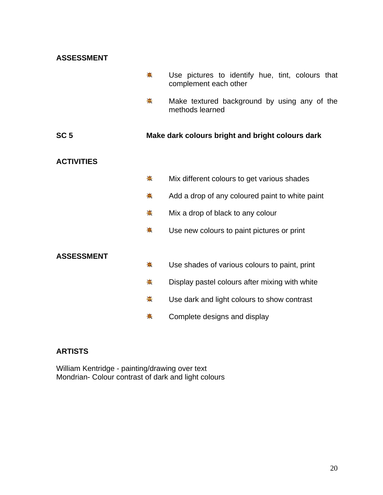| <b>ASSESSMENT</b> |   |                                                                           |
|-------------------|---|---------------------------------------------------------------------------|
|                   | ♣ | Use pictures to identify hue, tint, colours that<br>complement each other |
|                   | 来 | Make textured background by using any of the<br>methods learned           |
| SC <sub>5</sub>   |   | Make dark colours bright and bright colours dark                          |
| <b>ACTIVITIES</b> |   |                                                                           |
|                   | ♣ | Mix different colours to get various shades                               |
|                   | 柰 | Add a drop of any coloured paint to white paint                           |
|                   | 来 | Mix a drop of black to any colour                                         |
|                   | 兼 | Use new colours to paint pictures or print                                |
|                   |   |                                                                           |
| <b>ASSESSMENT</b> | ♣ | Use shades of various colours to paint, print                             |
|                   | 壳 | Display pastel colours after mixing with white                            |
|                   | 稁 | Use dark and light colours to show contrast                               |
|                   |   | Complete designs and display                                              |

#### **ARTISTS**

William Kentridge - painting/drawing over text Mondrian- Colour contrast of dark and light colours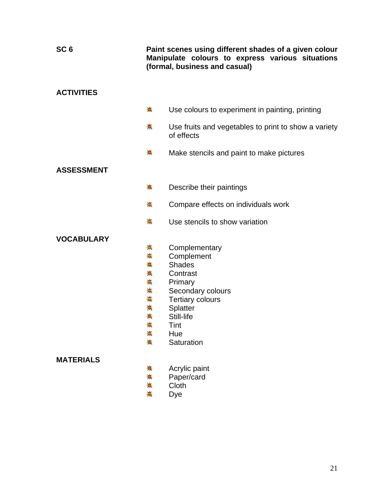| SC <sub>6</sub>   | Paint scenes using different shades of a given colour<br>Manipulate colours to express various situations<br>(formal, business and casual) |                                                                    |
|-------------------|--------------------------------------------------------------------------------------------------------------------------------------------|--------------------------------------------------------------------|
| <b>ACTIVITIES</b> |                                                                                                                                            |                                                                    |
|                   | $\clubsuit$                                                                                                                                | Use colours to experiment in painting, printing                    |
|                   | 斋                                                                                                                                          | Use fruits and vegetables to print to show a variety<br>of effects |
|                   | ♣                                                                                                                                          | Make stencils and paint to make pictures                           |
| <b>ASSESSMENT</b> |                                                                                                                                            |                                                                    |
|                   | ♣                                                                                                                                          | Describe their paintings                                           |
|                   | 兼                                                                                                                                          | Compare effects on individuals work                                |
|                   | 贵                                                                                                                                          | Use stencils to show variation                                     |
| <b>VOCABULARY</b> |                                                                                                                                            |                                                                    |
|                   | ♣                                                                                                                                          | Complementary                                                      |
|                   | $\ddot{\ast}$                                                                                                                              | Complement                                                         |
|                   | ☀                                                                                                                                          | <b>Shades</b>                                                      |
|                   | $\ddot{\ast}$                                                                                                                              | Contrast                                                           |
|                   | 兼                                                                                                                                          | Primary                                                            |
|                   | $\frac{1}{\sqrt{2}}$                                                                                                                       | Secondary colours                                                  |
|                   | ♣                                                                                                                                          | <b>Tertiary colours</b>                                            |
|                   | ☀                                                                                                                                          | Splatter                                                           |
|                   | 耒                                                                                                                                          | Still-life                                                         |
|                   | 崇<br>兼                                                                                                                                     | Tint<br>Hue                                                        |
|                   | ☀                                                                                                                                          | Saturation                                                         |
| <b>MATERIALS</b>  |                                                                                                                                            |                                                                    |
|                   | 壳                                                                                                                                          | Acrylic paint                                                      |
|                   | ☀                                                                                                                                          | Paper/card                                                         |
|                   | $\clubsuit$                                                                                                                                | Cloth                                                              |
|                   | ♣                                                                                                                                          | Dye                                                                |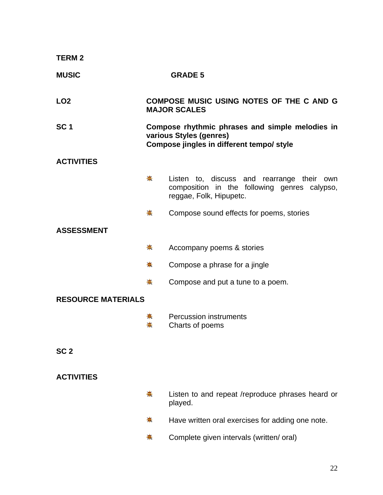| <b>TERM 2</b>             |   |                                                                                                                         |
|---------------------------|---|-------------------------------------------------------------------------------------------------------------------------|
| <b>MUSIC</b>              |   | <b>GRADE 5</b>                                                                                                          |
| LO <sub>2</sub>           |   | COMPOSE MUSIC USING NOTES OF THE C AND G<br><b>MAJOR SCALES</b>                                                         |
| SC <sub>1</sub>           |   | Compose rhythmic phrases and simple melodies in<br>various Styles (genres)<br>Compose jingles in different tempo/ style |
| <b>ACTIVITIES</b>         |   |                                                                                                                         |
|                           | ♣ | Listen to, discuss and rearrange their own<br>composition in the following genres calypso,<br>reggae, Folk, Hipupetc.   |
|                           | ☀ | Compose sound effects for poems, stories                                                                                |
| <b>ASSESSMENT</b>         |   |                                                                                                                         |
|                           | ♣ | Accompany poems & stories                                                                                               |
|                           | 耒 | Compose a phrase for a jingle                                                                                           |
|                           | 耒 | Compose and put a tune to a poem.                                                                                       |
| <b>RESOURCE MATERIALS</b> |   |                                                                                                                         |
|                           |   | <b>Percussion instruments</b><br>Charts of poems                                                                        |
| SC <sub>2</sub>           |   |                                                                                                                         |
| <b>ACTIVITIES</b>         |   |                                                                                                                         |
|                           | ♣ | Listen to and repeat /reproduce phrases heard or<br>played.                                                             |

- 崇 Have written oral exercises for adding one note.
- 崇。 Complete given intervals (written/ oral)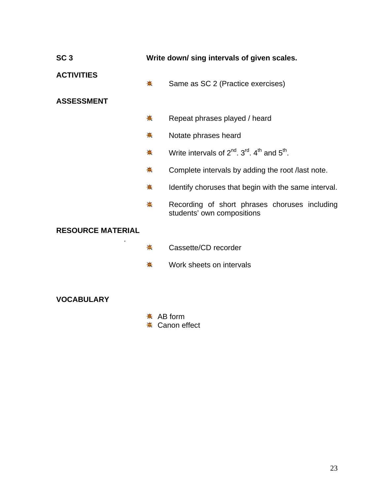| SC <sub>3</sub>          | Write down/ sing intervals of given scales. |                                                                             |
|--------------------------|---------------------------------------------|-----------------------------------------------------------------------------|
| <b>ACTIVITIES</b>        | $\clubsuit$                                 | Same as SC 2 (Practice exercises)                                           |
| <b>ASSESSMENT</b>        |                                             |                                                                             |
|                          | ☀                                           | Repeat phrases played / heard                                               |
|                          | 斋                                           | Notate phrases heard                                                        |
|                          | 兼                                           | Write intervals of $2^{nd}$ , $3^{rd}$ , $4^{th}$ and $5^{th}$ .            |
|                          | ♣                                           | Complete intervals by adding the root /last note.                           |
|                          | ♣                                           | Identify choruses that begin with the same interval.                        |
|                          | 壳                                           | Recording of short phrases choruses including<br>students' own compositions |
| <b>RESOURCE MATERIAL</b> |                                             |                                                                             |
|                          | 豪                                           | Cassette/CD recorder                                                        |
|                          | 壳                                           | Work sheets on intervals                                                    |

- **AB** form
- $★$  Canon effect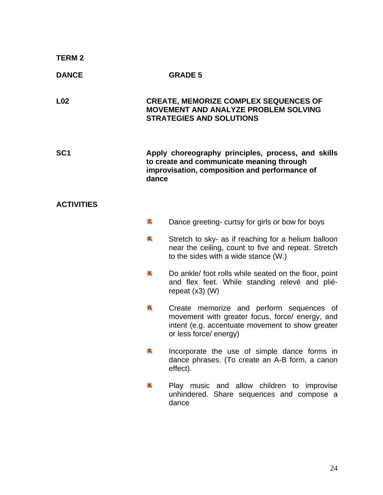| <b>TERM2</b>      |       |                                                                                                                                                                           |
|-------------------|-------|---------------------------------------------------------------------------------------------------------------------------------------------------------------------------|
| <b>DANCE</b>      |       | <b>GRADE 5</b>                                                                                                                                                            |
| L <sub>02</sub>   |       | <b>CREATE, MEMORIZE COMPLEX SEQUENCES OF</b><br>MOVEMENT AND ANALYZE PROBLEM SOLVING<br><b>STRATEGIES AND SOLUTIONS</b>                                                   |
| SC <sub>1</sub>   | dance | Apply choreography principles, process, and skills<br>to create and communicate meaning through<br>improvisation, composition and performance of                          |
| <b>ACTIVITIES</b> |       |                                                                                                                                                                           |
|                   | ₩     | Dance greeting-curtsy for girls or bow for boys                                                                                                                           |
|                   | ♣     | Stretch to sky- as if reaching for a helium balloon<br>near the ceiling, count to five and repeat. Stretch<br>to the sides with a wide stance (W.)                        |
|                   | 稁     | Do ankle/ foot rolls while seated on the floor, point<br>and flex feet. While standing relevé and plié-<br>repeat $(x3)$ (W)                                              |
|                   | 帯     | Create memorize and perform sequences of<br>movement with greater focus, force/ energy, and<br>intent (e.g. accentuate movement to show greater<br>or less force/ energy) |
|                   |       | Incorporate the use of simple dance forms in<br>dance phrases. (To create an A-B form, a canon<br>effect).                                                                |
|                   | ♣     | Play music and allow children to improvise<br>unhindered. Share sequences and compose a<br>dance                                                                          |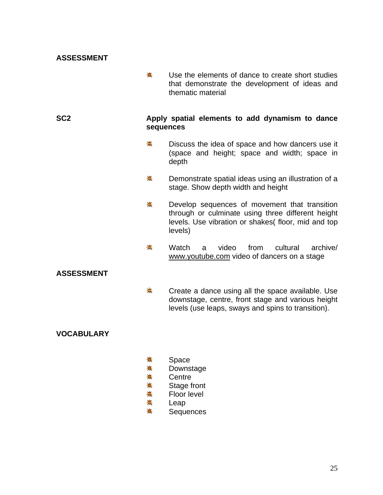#### **ASSESSMENT**

斋. Use the elements of dance to create short studies that demonstrate the development of ideas and thematic material

#### **SC2 Apply spatial elements to add dynamism to dance sequences**

- $\bigstar$ Discuss the idea of space and how dancers use it (space and height; space and width; space in depth
- 寨 Demonstrate spatial ideas using an illustration of a stage. Show depth width and height
- 兼 Develop sequences of movement that transition through or culminate using three different height levels. Use vibration or shakes( floor, mid and top levels)
- <del>☀</del> Watch a video from cultural archive/ [www.youtube.com](http://www.youtube.com/) video of dancers on a stage

#### **ASSESSMENT**

熹 Create a dance using all the space available. Use downstage, centre, front stage and various height levels (use leaps, sways and spins to transition).

- ☀. Space
- 兼 Downstage
- ₩. **Centre**
- ₩. Stage front
- 寨 Floor level
- 斋 Leap
- ☀. **Sequences**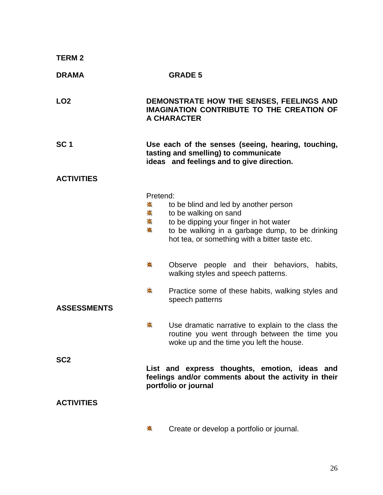| <b>TERM2</b>       |                               |                                                                                                                                                                                                               |
|--------------------|-------------------------------|---------------------------------------------------------------------------------------------------------------------------------------------------------------------------------------------------------------|
| <b>DRAMA</b>       |                               | <b>GRADE 5</b>                                                                                                                                                                                                |
| LO <sub>2</sub>    |                               | DEMONSTRATE HOW THE SENSES, FEELINGS AND<br><b>IMAGINATION CONTRIBUTE TO THE CREATION OF</b><br>A CHARACTER                                                                                                   |
| SC <sub>1</sub>    |                               | Use each of the senses (seeing, hearing, touching,<br>tasting and smelling) to communicate<br>ideas and feelings and to give direction.                                                                       |
| <b>ACTIVITIES</b>  |                               |                                                                                                                                                                                                               |
|                    | Pretend:<br>兼<br>兼.<br>◆<br>♣ | to be blind and led by another person<br>to be walking on sand<br>to be dipping your finger in hot water<br>to be walking in a garbage dump, to be drinking<br>hot tea, or something with a bitter taste etc. |
|                    | ♣.                            | Observe people and their behaviors, habits,<br>walking styles and speech patterns.                                                                                                                            |
| <b>ASSESSMENTS</b> | $\clubsuit$                   | Practice some of these habits, walking styles and<br>speech patterns                                                                                                                                          |
|                    |                               | Use dramatic narrative to explain to the class the<br>routine you went through between the time you<br>woke up and the time you left the house.                                                               |
| SC <sub>2</sub>    |                               | List and express thoughts, emotion, ideas and<br>feelings and/or comments about the activity in their<br>portfolio or journal                                                                                 |
| <b>ACTIVITIES</b>  |                               |                                                                                                                                                                                                               |
|                    | 夫                             | Create or develop a portfolio or journal.                                                                                                                                                                     |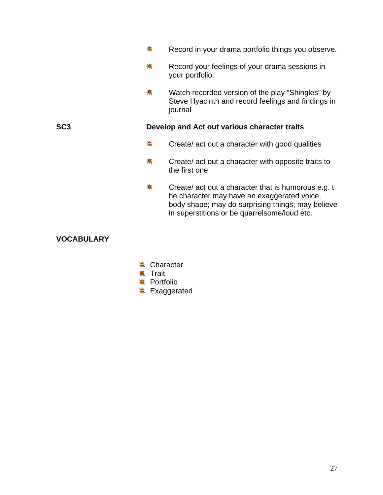|     | 4                                            | Record in your drama portfolio things you observe.                                                                                                                                                      |
|-----|----------------------------------------------|---------------------------------------------------------------------------------------------------------------------------------------------------------------------------------------------------------|
|     | ♣                                            | Record your feelings of your drama sessions in<br>your portfolio.                                                                                                                                       |
|     | ♣                                            | Watch recorded version of the play "Shingles" by<br>Steve Hyacinth and record feelings and findings in<br>journal                                                                                       |
| SC3 | Develop and Act out various character traits |                                                                                                                                                                                                         |
|     | ₩                                            | Create/ act out a character with good qualities                                                                                                                                                         |
|     | ♣                                            | Create/ act out a character with opposite traits to<br>the first one                                                                                                                                    |
|     | ♣                                            | Create/ act out a character that is humorous e.g. t<br>he character may have an exaggerated voice,<br>body shape; may do surprising things; may believe<br>in superstitions or be quarrelsome/loud etc. |

- $\text{\textsterling}$  Character
- **☀ Trait**
- **☀ Portfolio**
- <del>≢</del> Exaggerated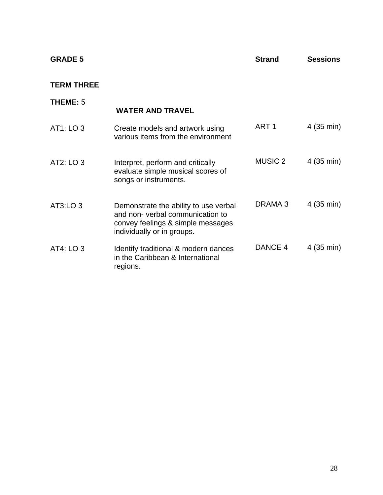| <b>GRADE 5</b>    |                                                                                                                                             | <b>Strand</b>      | <b>Sessions</b> |
|-------------------|---------------------------------------------------------------------------------------------------------------------------------------------|--------------------|-----------------|
| <b>TERM THREE</b> |                                                                                                                                             |                    |                 |
| <b>THEME: 5</b>   | <b>WATER AND TRAVEL</b>                                                                                                                     |                    |                 |
| AT1: LO 3         | Create models and artwork using<br>various items from the environment                                                                       | ART <sub>1</sub>   | 4 (35 min)      |
| AT2: LO 3         | Interpret, perform and critically<br>evaluate simple musical scores of<br>songs or instruments.                                             | <b>MUSIC 2</b>     | 4 (35 min)      |
| AT3:LO 3          | Demonstrate the ability to use verbal<br>and non-verbal communication to<br>convey feelings & simple messages<br>individually or in groups. | DRAMA <sub>3</sub> | 4 (35 min)      |
| AT4: LO 3         | Identify traditional & modern dances<br>in the Caribbean & International<br>regions.                                                        | DANCE 4            | 4 (35 min)      |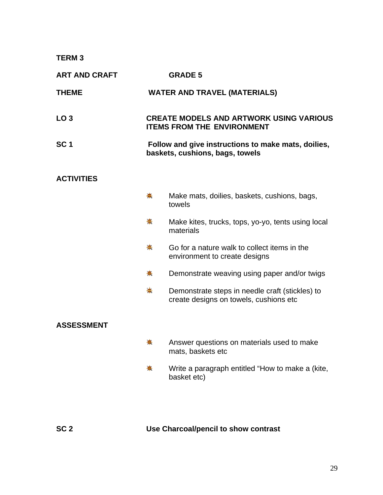#### **TERM 3**

| <b>ART AND CRAFT</b> |                                                                                        | <b>GRADE 5</b>                                                                            |
|----------------------|----------------------------------------------------------------------------------------|-------------------------------------------------------------------------------------------|
| <b>THEME</b>         |                                                                                        | <b>WATER AND TRAVEL (MATERIALS)</b>                                                       |
| LO <sub>3</sub>      |                                                                                        | <b>CREATE MODELS AND ARTWORK USING VARIOUS</b><br><b>ITEMS FROM THE ENVIRONMENT</b>       |
| SC <sub>1</sub>      | Follow and give instructions to make mats, doilies,<br>baskets, cushions, bags, towels |                                                                                           |
| <b>ACTIVITIES</b>    |                                                                                        |                                                                                           |
|                      | 豪                                                                                      | Make mats, doilies, baskets, cushions, bags,<br>towels                                    |
|                      | ♣                                                                                      | Make kites, trucks, tops, yo-yo, tents using local<br>materials                           |
|                      | $\clubsuit$                                                                            | Go for a nature walk to collect items in the<br>environment to create designs             |
|                      | 壳                                                                                      | Demonstrate weaving using paper and/or twigs                                              |
|                      | $\clubsuit$                                                                            | Demonstrate steps in needle craft (stickles) to<br>create designs on towels, cushions etc |
| <b>ASSESSMENT</b>    |                                                                                        |                                                                                           |
|                      | 稁                                                                                      | Answer questions on materials used to make<br>mats, baskets etc                           |
|                      | ₩                                                                                      | Write a paragraph entitled "How to make a (kite,<br>basket etc)                           |
|                      |                                                                                        |                                                                                           |

## **SC 2 Use Charcoal/pencil to show contrast**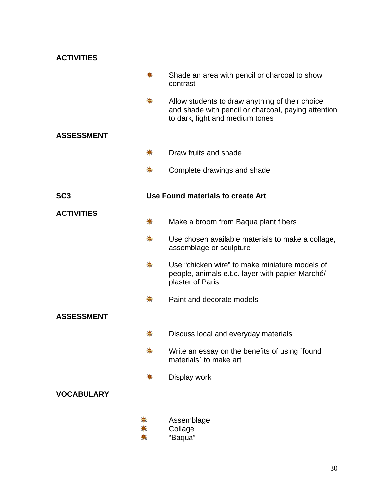| <b>ACTIVITIES</b> |                                                                                                                                           |
|-------------------|-------------------------------------------------------------------------------------------------------------------------------------------|
| ♣.                | Shade an area with pencil or charcoal to show<br>contrast                                                                                 |
| ♣                 | Allow students to draw anything of their choice<br>and shade with pencil or charcoal, paying attention<br>to dark, light and medium tones |
| <b>ASSESSMENT</b> |                                                                                                                                           |
| ♣                 | Draw fruits and shade                                                                                                                     |
| ♣                 | Complete drawings and shade                                                                                                               |
| SC <sub>3</sub>   | Use Found materials to create Art                                                                                                         |
| <b>ACTIVITIES</b> |                                                                                                                                           |
| ♣.                | Make a broom from Baqua plant fibers                                                                                                      |
| $\clubsuit$       | Use chosen available materials to make a collage,<br>assemblage or sculpture                                                              |
| 壳                 | Use "chicken wire" to make miniature models of<br>people, animals e.t.c. layer with papier Marché/<br>plaster of Paris                    |
| ♣                 | Paint and decorate models                                                                                                                 |
| <b>ASSESSMENT</b> |                                                                                                                                           |
|                   | Discuss local and everyday materials                                                                                                      |
| 兼                 | Write an essay on the benefits of using `found<br>materials' to make art                                                                  |
| ₩                 | Display work                                                                                                                              |
| <b>VOCABULARY</b> |                                                                                                                                           |
| ☀<br>☀            | Assemblage<br>Collage<br>"Baqua"                                                                                                          |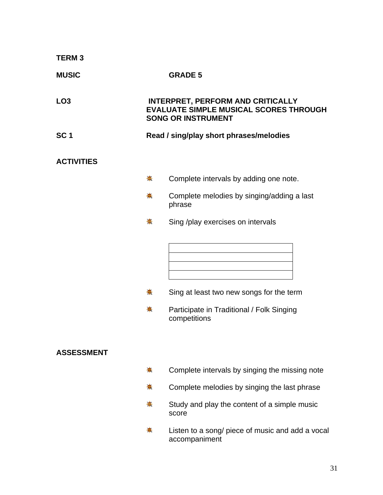| <b>TERM3</b>      |             |                                                                                                                        |
|-------------------|-------------|------------------------------------------------------------------------------------------------------------------------|
| <b>MUSIC</b>      |             | <b>GRADE 5</b>                                                                                                         |
| LO <sub>3</sub>   |             | <b>INTERPRET, PERFORM AND CRITICALLY</b><br><b>EVALUATE SIMPLE MUSICAL SCORES THROUGH</b><br><b>SONG OR INSTRUMENT</b> |
| SC <sub>1</sub>   |             | Read / sing/play short phrases/melodies                                                                                |
| <b>ACTIVITIES</b> |             |                                                                                                                        |
|                   | $\clubsuit$ | Complete intervals by adding one note.                                                                                 |
|                   | ♣           | Complete melodies by singing/adding a last<br>phrase                                                                   |
|                   | 崇           | Sing /play exercises on intervals                                                                                      |
|                   | 兼<br>♣      | Sing at least two new songs for the term<br>Participate in Traditional / Folk Singing<br>competitions                  |
| <b>ASSESSMENT</b> |             |                                                                                                                        |
|                   | ♣           | Complete intervals by singing the missing note                                                                         |
|                   | 兼           | Complete melodies by singing the last phrase                                                                           |
|                   | 稁           | Study and play the content of a simple music<br>score                                                                  |
|                   | *           | Listen to a song/ piece of music and add a vocal                                                                       |

accompaniment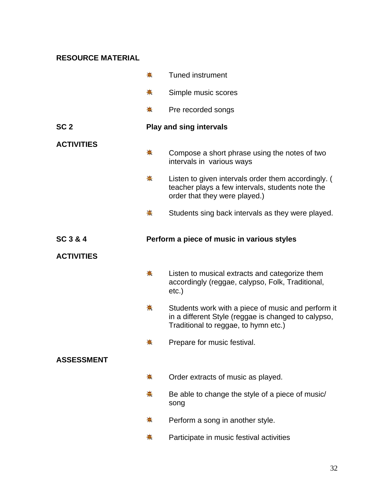#### **RESOURCE MATERIAL**

|                   | $\clubsuit$ | <b>Tuned instrument</b>                                                                                                                           |
|-------------------|-------------|---------------------------------------------------------------------------------------------------------------------------------------------------|
|                   | 柰           | Simple music scores                                                                                                                               |
|                   | ♣           | Pre recorded songs                                                                                                                                |
| SC <sub>2</sub>   |             | <b>Play and sing intervals</b>                                                                                                                    |
| <b>ACTIVITIES</b> | ♣           | Compose a short phrase using the notes of two<br>intervals in various ways                                                                        |
|                   | ♣           | Listen to given intervals order them accordingly. (<br>teacher plays a few intervals, students note the<br>order that they were played.)          |
|                   | ♣           | Students sing back intervals as they were played.                                                                                                 |
| SC 3 & 4          |             | Perform a piece of music in various styles                                                                                                        |
| <b>ACTIVITIES</b> |             |                                                                                                                                                   |
|                   | 耒           | Listen to musical extracts and categorize them<br>accordingly (reggae, calypso, Folk, Traditional,<br>$etc.$ )                                    |
|                   | 帯           | Students work with a piece of music and perform it<br>in a different Style (reggae is changed to calypso,<br>Traditional to reggae, to hymn etc.) |
|                   |             | Prepare for music festival.                                                                                                                       |
| <b>ASSESSMENT</b> |             |                                                                                                                                                   |
|                   | $\clubsuit$ | Order extracts of music as played.                                                                                                                |
|                   | $\clubsuit$ | Be able to change the style of a piece of music/<br>song                                                                                          |
|                   | 帯           | Perform a song in another style.                                                                                                                  |
|                   | ₩           | Participate in music festival activities                                                                                                          |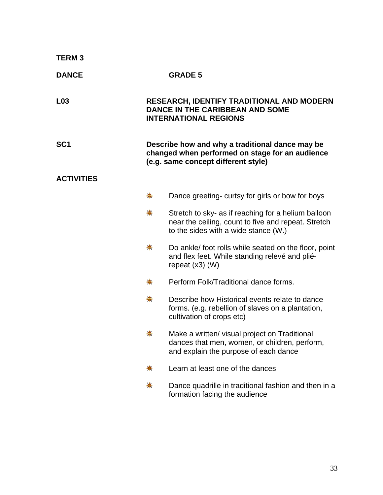| <b>TERM3</b>      |                                                                                                                                           |                                                                                                                                                    |
|-------------------|-------------------------------------------------------------------------------------------------------------------------------------------|----------------------------------------------------------------------------------------------------------------------------------------------------|
| <b>DANCE</b>      |                                                                                                                                           | <b>GRADE 5</b>                                                                                                                                     |
| L <sub>03</sub>   |                                                                                                                                           | <b>RESEARCH, IDENTIFY TRADITIONAL AND MODERN</b><br><b>DANCE IN THE CARIBBEAN AND SOME</b><br><b>INTERNATIONAL REGIONS</b>                         |
| SC <sub>1</sub>   | Describe how and why a traditional dance may be<br>changed when performed on stage for an audience<br>(e.g. same concept different style) |                                                                                                                                                    |
| <b>ACTIVITIES</b> |                                                                                                                                           |                                                                                                                                                    |
|                   | 崙                                                                                                                                         | Dance greeting- curtsy for girls or bow for boys                                                                                                   |
|                   | $\clubsuit$                                                                                                                               | Stretch to sky- as if reaching for a helium balloon<br>near the ceiling, count to five and repeat. Stretch<br>to the sides with a wide stance (W.) |
|                   | ♣                                                                                                                                         | Do ankle/ foot rolls while seated on the floor, point<br>and flex feet. While standing relevé and plié-<br>repeat $(x3)$ (W)                       |
|                   | 豪                                                                                                                                         | Perform Folk/Traditional dance forms.                                                                                                              |
|                   | 耒                                                                                                                                         | Describe how Historical events relate to dance<br>forms. (e.g. rebellion of slaves on a plantation,<br>cultivation of crops etc)                   |
|                   |                                                                                                                                           | Make a written/ visual project on Traditional<br>dances that men, women, or children, perform,<br>and explain the purpose of each dance            |
|                   | ♣                                                                                                                                         | Learn at least one of the dances                                                                                                                   |
|                   | ♣                                                                                                                                         | Dance quadrille in traditional fashion and then in a<br>formation facing the audience                                                              |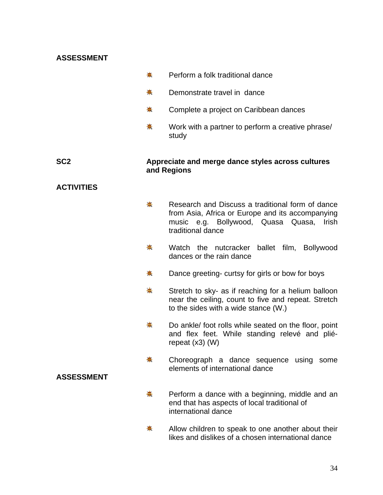#### **ASSESSMENT**

| 兼 |  | Perform a folk traditional dance |  |
|---|--|----------------------------------|--|
|   |  |                                  |  |

- 秦 Demonstrate travel in dance
- ₩. Complete a project on Caribbean dances
- 斋 Work with a partner to perform a creative phrase/ study

#### **SC2 Appreciate and merge dance styles across cultures and Regions**

#### **ACTIVITIES**

- 毒. Research and Discuss a traditional form of dance from Asia, Africa or Europe and its accompanying music e.g. Bollywood, Quasa Quasa, Irish traditional dance
- $\frac{1}{2}$ Watch the nutcracker ballet film, Bollywood dances or the rain dance
- ₩. Dance greeting- curtsy for girls or bow for boys
- 毒. Stretch to sky- as if reaching for a helium balloon near the ceiling, count to five and repeat. Stretch to the sides with a wide stance (W.)
- ₩. Do ankle/ foot rolls while seated on the floor, point and flex feet. While standing relevé and plié repeat (x3) (W)
- 来 Choreograph a dance sequence using some elements of international dance
- 熹 Perform a dance with a beginning, middle and an end that has aspects of local traditional of international dance
- $\frac{1}{2}$ Allow children to speak to one another about their likes and dislikes of a chosen international dance

#### **ASSESSMENT**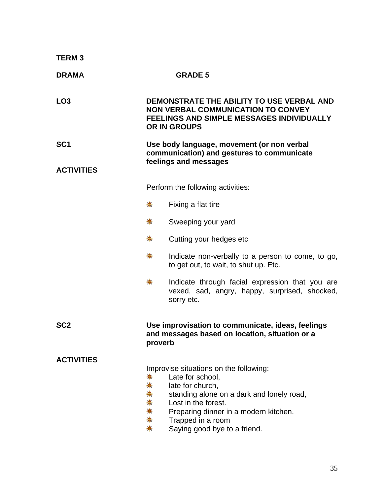| <b>TERM3</b>                         |                                                                                                                   |                                                                                                                                                                                                                                                  |  |
|--------------------------------------|-------------------------------------------------------------------------------------------------------------------|--------------------------------------------------------------------------------------------------------------------------------------------------------------------------------------------------------------------------------------------------|--|
| <b>DRAMA</b>                         |                                                                                                                   | <b>GRADE 5</b>                                                                                                                                                                                                                                   |  |
| LO <sub>3</sub>                      |                                                                                                                   | DEMONSTRATE THE ABILITY TO USE VERBAL AND<br><b>NON VERBAL COMMUNICATION TO CONVEY</b><br>FEELINGS AND SIMPLE MESSAGES INDIVIDUALLY<br><b>OR IN GROUPS</b>                                                                                       |  |
| SC <sub>1</sub><br><b>ACTIVITIES</b> | Use body language, movement (or non verbal<br>communication) and gestures to communicate<br>feelings and messages |                                                                                                                                                                                                                                                  |  |
|                                      |                                                                                                                   | Perform the following activities:                                                                                                                                                                                                                |  |
|                                      | ♣.                                                                                                                | Fixing a flat tire                                                                                                                                                                                                                               |  |
|                                      | <del>☀</del>                                                                                                      | Sweeping your yard                                                                                                                                                                                                                               |  |
|                                      | ♣                                                                                                                 | Cutting your hedges etc                                                                                                                                                                                                                          |  |
|                                      | 贵                                                                                                                 | Indicate non-verbally to a person to come, to go,<br>to get out, to wait, to shut up. Etc.                                                                                                                                                       |  |
|                                      | 耒                                                                                                                 | Indicate through facial expression that you are<br>vexed, sad, angry, happy, surprised, shocked,<br>sorry etc.                                                                                                                                   |  |
| SC <sub>2</sub>                      | Use improvisation to communicate, ideas, feelings<br>and messages based on location, situation or a<br>proverb    |                                                                                                                                                                                                                                                  |  |
| <b>ACTIVITIES</b>                    | 帯<br>☀<br>☀<br>崙<br>☀<br>₩.<br>♣                                                                                  | Improvise situations on the following:<br>Late for school,<br>late for church,<br>standing alone on a dark and lonely road,<br>Lost in the forest.<br>Preparing dinner in a modern kitchen.<br>Trapped in a room<br>Saying good bye to a friend. |  |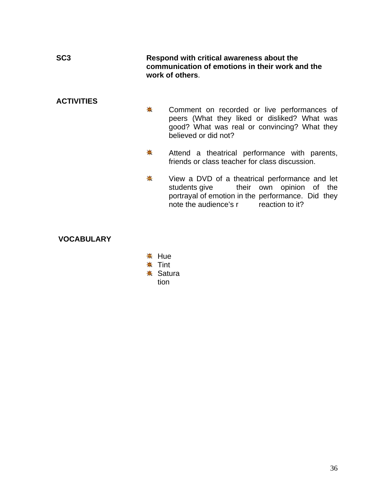| SC <sub>3</sub>   | Respond with critical awareness about the<br>communication of emotions in their work and the<br>work of others. |                                                                                                                                                                                        |
|-------------------|-----------------------------------------------------------------------------------------------------------------|----------------------------------------------------------------------------------------------------------------------------------------------------------------------------------------|
| <b>ACTIVITIES</b> | ♣                                                                                                               | Comment on recorded or live performances of<br>peers (What they liked or disliked? What was<br>good? What was real or convincing? What they<br>believed or did not?                    |
|                   | ♣                                                                                                               | Attend a theatrical performance with parents,<br>friends or class teacher for class discussion.                                                                                        |
|                   | ♣                                                                                                               | View a DVD of a theatrical performance and let<br>students give their own opinion of the<br>portrayal of emotion in the performance. Did they<br>note the audience's r reaction to it? |
| <b>VOCABULARY</b> |                                                                                                                 |                                                                                                                                                                                        |

**<del>☀</del>** Hue **☀ Tint <del></del> Satura** tion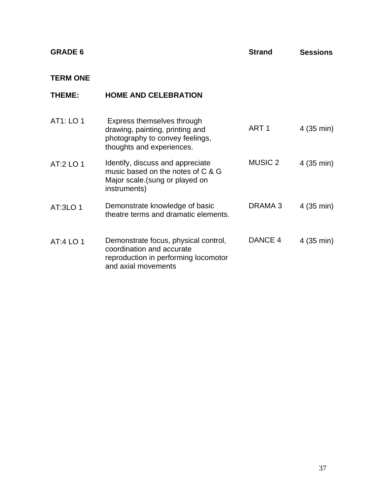| <b>GRADE 6</b>  |                                                                                                                                  | <b>Strand</b>      | <b>Sessions</b> |
|-----------------|----------------------------------------------------------------------------------------------------------------------------------|--------------------|-----------------|
| <b>TERM ONE</b> |                                                                                                                                  |                    |                 |
| THEME:          | <b>HOME AND CELEBRATION</b>                                                                                                      |                    |                 |
| AT1: LO 1       | Express themselves through<br>drawing, painting, printing and<br>photography to convey feelings,<br>thoughts and experiences.    | ART <sub>1</sub>   | 4 (35 min)      |
| AT:2 LO 1       | Identify, discuss and appreciate<br>music based on the notes of C & G<br>Major scale (sung or played on<br>instruments)          | <b>MUSIC 2</b>     | 4(35 min)       |
| AT:3LO 1        | Demonstrate knowledge of basic<br>theatre terms and dramatic elements.                                                           | DRAMA <sub>3</sub> | 4 (35 min)      |
| AT:4 LO 1       | Demonstrate focus, physical control,<br>coordination and accurate<br>reproduction in performing locomotor<br>and axial movements | DANCE 4            | 4(35 min)       |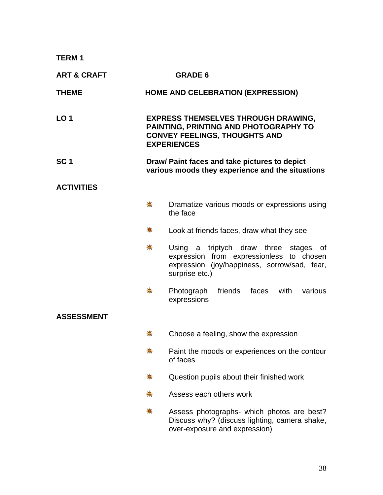**TERM 1** 

| <b>ART &amp; CRAFT</b> |                                                                                                   | <b>GRADE 6</b>                                                                                                                                         |
|------------------------|---------------------------------------------------------------------------------------------------|--------------------------------------------------------------------------------------------------------------------------------------------------------|
| <b>THEME</b>           |                                                                                                   | <b>HOME AND CELEBRATION (EXPRESSION)</b>                                                                                                               |
| LO <sub>1</sub>        |                                                                                                   | <b>EXPRESS THEMSELVES THROUGH DRAWING,</b><br>PAINTING, PRINTING AND PHOTOGRAPHY TO<br><b>CONVEY FEELINGS, THOUGHTS AND</b><br><b>EXPERIENCES</b>      |
| SC <sub>1</sub>        | Draw/ Paint faces and take pictures to depict<br>various moods they experience and the situations |                                                                                                                                                        |
| <b>ACTIVITIES</b>      |                                                                                                   |                                                                                                                                                        |
|                        | 豪                                                                                                 | Dramatize various moods or expressions using<br>the face                                                                                               |
|                        | ₩.                                                                                                | Look at friends faces, draw what they see                                                                                                              |
|                        | 秦                                                                                                 | Using a triptych draw three stages<br>of<br>expression from expressionless to chosen<br>expression (joy/happiness, sorrow/sad, fear,<br>surprise etc.) |
|                        | ₩                                                                                                 | Photograph<br>friends<br>faces<br>with<br>various<br>expressions                                                                                       |
| <b>ASSESSMENT</b>      |                                                                                                   |                                                                                                                                                        |
|                        | 橐                                                                                                 | Choose a feeling, show the expression                                                                                                                  |
|                        | 兼                                                                                                 | Paint the moods or experiences on the contour<br>of faces                                                                                              |
|                        | 壳                                                                                                 | Question pupils about their finished work                                                                                                              |
|                        | ♣                                                                                                 | Assess each others work                                                                                                                                |
|                        | 帯                                                                                                 | Assess photographs- which photos are best?<br>Discuss why? (discuss lighting, camera shake,<br>over-exposure and expression)                           |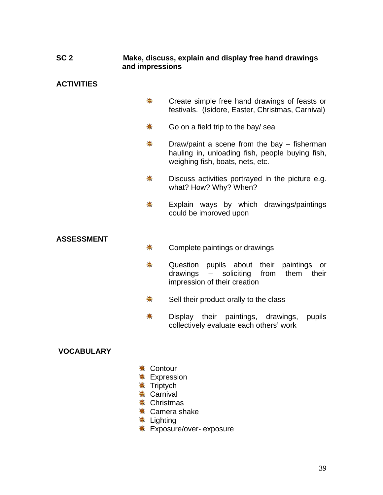### **SC 2 Make, discuss, explain and display free hand drawings and impressions**

## **ACTIVITIES**

- $\clubsuit$ Create simple free hand drawings of feasts or festivals. (Isidore, Easter, Christmas, Carnival)
- 斋 Go on a field trip to the bay/ sea
- $\bigstar$ Draw/paint a scene from the bay – fisherman hauling in, unloading fish, people buying fish, weighing fish, boats, nets, etc.
- ₩. Discuss activities portrayed in the picture e.g. what? How? Why? When?
- 兼 Explain ways by which drawings/paintings could be improved upon

### **ASSESSMENT**

- 秦 Complete paintings or drawings
- ₩. Question pupils about their paintings or drawings – soliciting from them their impression of their creation
- 寨 Sell their product orally to the class
- 兼 Display their paintings, drawings, pupils collectively evaluate each others' work

## **VOCABULARY**

- **<del></del> Contour**
- **<del></del> Expression**
- **\* Triptych**
- **※ Carnival**
- $*$  Christmas
- **\*** Camera shake
- **<del>≢</del>** Lighting
- **Exposure/over- exposure**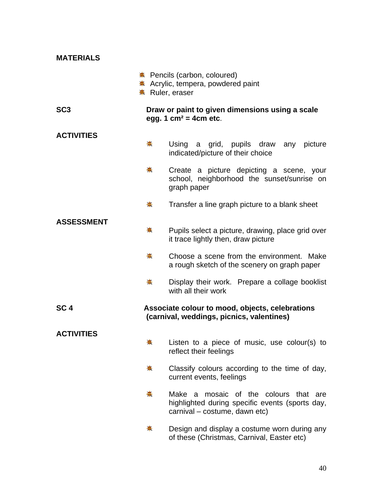| <b>MATERIALS</b>  |                     |                                                                                                                                 |
|-------------------|---------------------|---------------------------------------------------------------------------------------------------------------------------------|
|                   | ☀ Ruler, eraser     | ☀ Pencils (carbon, coloured)<br>☀ Acrylic, tempera, powdered paint                                                              |
| SC <sub>3</sub>   |                     | Draw or paint to given dimensions using a scale<br>egg. 1 $cm2 = 4cm$ etc.                                                      |
| <b>ACTIVITIES</b> | 崇                   | Using a grid, pupils draw any picture<br>indicated/picture of their choice                                                      |
|                   | ☀                   | Create a picture depicting a scene, your<br>school, neighborhood the sunset/sunrise on<br>graph paper                           |
|                   | 豪                   | Transfer a line graph picture to a blank sheet                                                                                  |
| <b>ASSESSMENT</b> | $\ddot{\textbf{+}}$ | Pupils select a picture, drawing, place grid over<br>it trace lightly then, draw picture                                        |
|                   | ♣.                  | Choose a scene from the environment. Make<br>a rough sketch of the scenery on graph paper                                       |
|                   | 豪                   | Display their work. Prepare a collage booklist<br>with all their work                                                           |
| SC <sub>4</sub>   |                     | Associate colour to mood, objects, celebrations<br>(carnival, weddings, picnics, valentines)                                    |
| <b>ACTIVITIES</b> |                     |                                                                                                                                 |
|                   | 兼                   | Listen to a piece of music, use colour(s) to<br>reflect their feelings                                                          |
|                   | 壳                   | Classify colours according to the time of day,<br>current events, feelings                                                      |
|                   | 耒                   | mosaic of the colours that are<br>Make<br>a<br>highlighted during specific events (sports day,<br>carnival - costume, dawn etc) |
|                   | 帯                   | Design and display a costume worn during any<br>of these (Christmas, Carnival, Easter etc)                                      |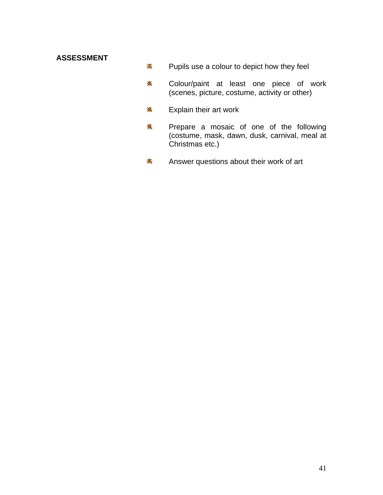## **ASSESSMENT**

- \* Pupils use a colour to depict how they feel
- Colour/paint at least one piece of work 秦. (scenes, picture, costume, activity or other)
- ♣. Explain their art work
- Prepare a mosaic of one of the following 斋 (costume, mask, dawn, dusk, carnival, meal at Christmas etc.)
- Answer questions about their work of art  $\frac{1}{2}$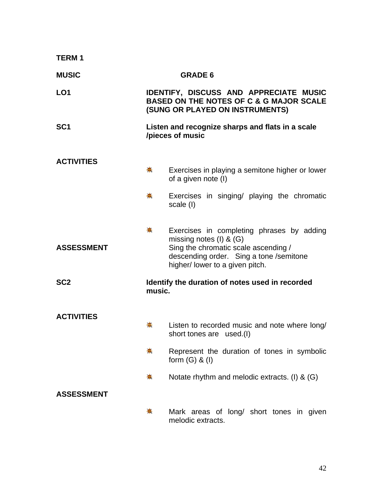| <b>TERM1</b>      |                                                                                                                                        |                                                                                                                                                                                                |
|-------------------|----------------------------------------------------------------------------------------------------------------------------------------|------------------------------------------------------------------------------------------------------------------------------------------------------------------------------------------------|
| <b>MUSIC</b>      |                                                                                                                                        | <b>GRADE 6</b>                                                                                                                                                                                 |
| LO <sub>1</sub>   | <b>IDENTIFY, DISCUSS AND APPRECIATE MUSIC</b><br><b>BASED ON THE NOTES OF C &amp; G MAJOR SCALE</b><br>(SUNG OR PLAYED ON INSTRUMENTS) |                                                                                                                                                                                                |
| SC <sub>1</sub>   |                                                                                                                                        | Listen and recognize sharps and flats in a scale<br>/pieces of music                                                                                                                           |
| <b>ACTIVITIES</b> |                                                                                                                                        |                                                                                                                                                                                                |
|                   | 豪                                                                                                                                      | Exercises in playing a semitone higher or lower<br>of a given note (I)                                                                                                                         |
|                   | 柰                                                                                                                                      | Exercises in singing/ playing the chromatic<br>scale (I)                                                                                                                                       |
| <b>ASSESSMENT</b> | ₩.                                                                                                                                     | Exercises in completing phrases by adding<br>missing notes $(I)$ & $(G)$<br>Sing the chromatic scale ascending /<br>descending order. Sing a tone /semitone<br>higher/ lower to a given pitch. |
| SC <sub>2</sub>   | music.                                                                                                                                 | Identify the duration of notes used in recorded                                                                                                                                                |
| <b>ACTIVITIES</b> |                                                                                                                                        |                                                                                                                                                                                                |
|                   | 壳                                                                                                                                      | Listen to recorded music and note where long/<br>short tones are used.(I)                                                                                                                      |
|                   | 豪                                                                                                                                      | Represent the duration of tones in symbolic<br>form $(G)$ & $(I)$                                                                                                                              |
|                   | 壳                                                                                                                                      | Notate rhythm and melodic extracts. (I) & (G)                                                                                                                                                  |
| <b>ASSESSMENT</b> |                                                                                                                                        |                                                                                                                                                                                                |
|                   | ♣                                                                                                                                      | Mark areas of long/ short tones in given<br>melodic extracts.                                                                                                                                  |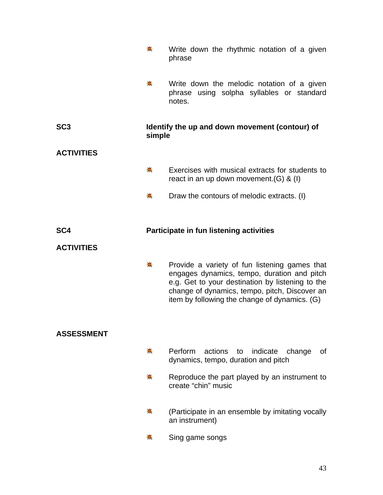|                   | $\clubsuit$ | Write down the rhythmic notation of a given<br>phrase                                                                                                                                                                                              |
|-------------------|-------------|----------------------------------------------------------------------------------------------------------------------------------------------------------------------------------------------------------------------------------------------------|
|                   | 卷           | Write down the melodic notation of a given<br>phrase using solpha syllables or standard<br>notes.                                                                                                                                                  |
| SC <sub>3</sub>   | simple      | Identify the up and down movement (contour) of                                                                                                                                                                                                     |
| <b>ACTIVITIES</b> |             |                                                                                                                                                                                                                                                    |
|                   | 帯           | Exercises with musical extracts for students to<br>react in an up down movement. $(G)$ & $(I)$                                                                                                                                                     |
|                   | 来           | Draw the contours of melodic extracts. (I)                                                                                                                                                                                                         |
| SC <sub>4</sub>   |             | Participate in fun listening activities                                                                                                                                                                                                            |
| <b>ACTIVITIES</b> |             |                                                                                                                                                                                                                                                    |
|                   | ♣.          | Provide a variety of fun listening games that<br>engages dynamics, tempo, duration and pitch<br>e.g. Get to your destination by listening to the<br>change of dynamics, tempo, pitch, Discover an<br>item by following the change of dynamics. (G) |
| <b>ASSESSMENT</b> |             |                                                                                                                                                                                                                                                    |
|                   | 壳           | Perform<br>actions to<br>indicate<br>change<br>0f<br>dynamics, tempo, duration and pitch                                                                                                                                                           |
|                   | ◆           | Reproduce the part played by an instrument to<br>create "chin" music                                                                                                                                                                               |
|                   | ₩           | (Participate in an ensemble by imitating vocally<br>an instrument)                                                                                                                                                                                 |
|                   | 帯           | Sing game songs                                                                                                                                                                                                                                    |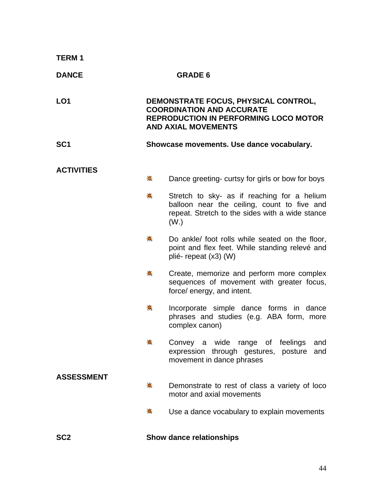| <b>TERM1</b>      |                     |                                                                                                                                                                    |
|-------------------|---------------------|--------------------------------------------------------------------------------------------------------------------------------------------------------------------|
| <b>DANCE</b>      |                     | <b>GRADE 6</b>                                                                                                                                                     |
| LO <sub>1</sub>   |                     | DEMONSTRATE FOCUS, PHYSICAL CONTROL,<br><b>COORDINATION AND ACCURATE</b><br><b>REPRODUCTION IN PERFORMING LOCO MOTOR</b><br><b>AND AXIAL MOVEMENTS</b>             |
| SC <sub>1</sub>   |                     | Showcase movements. Use dance vocabulary.                                                                                                                          |
| <b>ACTIVITIES</b> |                     |                                                                                                                                                                    |
|                   | ♣                   | Dance greeting- curtsy for girls or bow for boys                                                                                                                   |
|                   | $\ddot{\textbf{+}}$ | Stretch to sky- as if reaching for a helium<br>balloon near the ceiling, count to five and<br>repeat. Stretch to the sides with a wide stance<br>(W <sub>1</sub> ) |
|                   | ♣                   | Do ankle/ foot rolls while seated on the floor,<br>point and flex feet. While standing relevé and<br>plié-repeat (x3) (W)                                          |
|                   | 兼                   | Create, memorize and perform more complex<br>sequences of movement with greater focus,<br>force/ energy, and intent.                                               |
|                   | 兼                   | Incorporate simple dance forms in dance<br>phrases and studies (e.g. ABA form, more<br>complex canon)                                                              |
|                   |                     | Convey a wide range of feelings<br>and<br>expression through gestures, posture<br>and<br>movement in dance phrases                                                 |
| <b>ASSESSMENT</b> |                     |                                                                                                                                                                    |
|                   | ♣                   | Demonstrate to rest of class a variety of loco<br>motor and axial movements                                                                                        |
|                   | 壳                   | Use a dance vocabulary to explain movements                                                                                                                        |
| SC <sub>2</sub>   |                     | <b>Show dance relationships</b>                                                                                                                                    |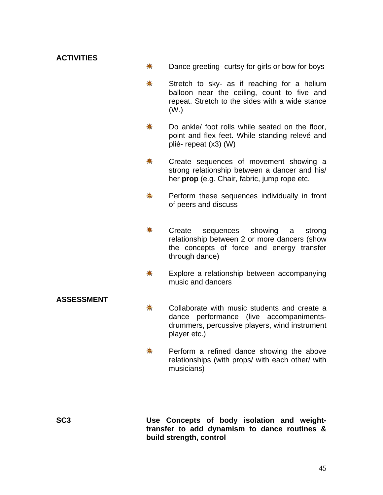- 卷 Dance greeting- curtsy for girls or bow for boys
- ₩. Stretch to sky- as if reaching for a helium balloon near the ceiling, count to five and repeat. Stretch to the sides with a wide stance (W.)
- 盖。 Do ankle/ foot rolls while seated on the floor, point and flex feet. While standing relevé and plié- repeat (x3) (W)
- ♣. Create sequences of movement showing a strong relationship between a dancer and his/ her **prop** (e.g. Chair, fabric, jump rope etc.
- 秦 Perform these sequences individually in front of peers and discuss
- 亲. Create sequences showing a strong relationship between 2 or more dancers (show the concepts of force and energy transfer through dance)
- ₩. Explore a relationship between accompanying music and dancers

### **ASSESSMENT**

- 亲. Collaborate with music students and create a dance performance (live accompaniments drummers, percussive players, wind instrument player etc.)
- 兼 Perform a refined dance showing the above relationships (with props/ with each other/ with musicians)

**SC3 Use Concepts of body isolation and weighttransfer to add dynamism to dance routines & build strength, control**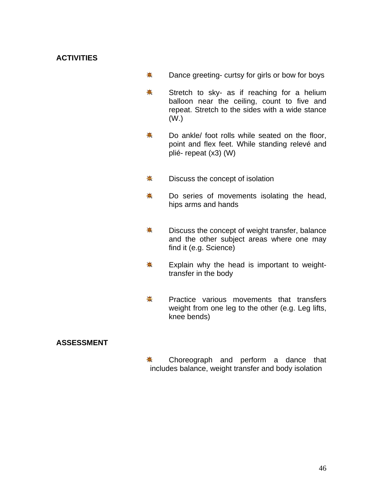- ₩. Dance greeting- curtsy for girls or bow for boys
- \* Stretch to sky- as if reaching for a helium balloon near the ceiling, count to five and repeat. Stretch to the sides with a wide stance (W.)
- 卷. Do ankle/ foot rolls while seated on the floor, point and flex feet. While standing relevé and plié- repeat (x3) (W)
- 亲. Discuss the concept of isolation
- 秦 Do series of movements isolating the head, hips arms and hands
- ♣. Discuss the concept of weight transfer, balance and the other subject areas where one may find it (e.g. Science)
- 兼 Explain why the head is important to weight transfer in the body
- 寨 Practice various movements that transfers weight from one leg to the other (e.g. Leg lifts, knee bends)

## **ASSESSMENT**

兼 Choreograph and perform a dance that includes balance, weight transfer and body isolation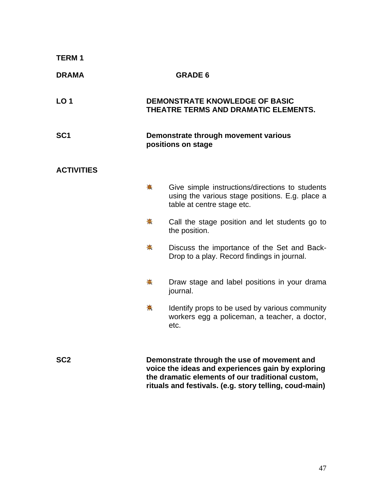| <b>TERM1</b>      |    |                                                                                                                                                                                                                |
|-------------------|----|----------------------------------------------------------------------------------------------------------------------------------------------------------------------------------------------------------------|
| <b>DRAMA</b>      |    | <b>GRADE 6</b>                                                                                                                                                                                                 |
| LO <sub>1</sub>   |    | <b>DEMONSTRATE KNOWLEDGE OF BASIC</b><br>THEATRE TERMS AND DRAMATIC ELEMENTS.                                                                                                                                  |
| SC <sub>1</sub>   |    | Demonstrate through movement various<br>positions on stage                                                                                                                                                     |
| <b>ACTIVITIES</b> |    |                                                                                                                                                                                                                |
|                   | ♣. | Give simple instructions/directions to students<br>using the various stage positions. E.g. place a<br>table at centre stage etc.                                                                               |
|                   | ₩. | Call the stage position and let students go to<br>the position.                                                                                                                                                |
|                   | ♣. | Discuss the importance of the Set and Back-<br>Drop to a play. Record findings in journal.                                                                                                                     |
|                   | 兼  | Draw stage and label positions in your drama<br>journal.                                                                                                                                                       |
|                   | 兼  | Identify props to be used by various community<br>workers egg a policeman, a teacher, a doctor,<br>etc.                                                                                                        |
| SC <sub>2</sub>   |    | Demonstrate through the use of movement and<br>voice the ideas and experiences gain by exploring<br>the dramatic elements of our traditional custom,<br>rituals and festivals. (e.g. story telling, coud-main) |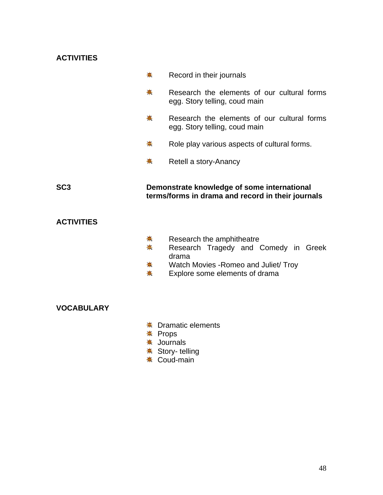|                   | 稁      | Record in their journals                                                                         |
|-------------------|--------|--------------------------------------------------------------------------------------------------|
|                   | 贵      | Research the elements of our cultural forms<br>egg. Story telling, coud main                     |
|                   | ♣      | Research the elements of our cultural forms<br>egg. Story telling, coud main                     |
|                   | ♣      | Role play various aspects of cultural forms.                                                     |
|                   | ₩      | Retell a story-Anancy                                                                            |
| SC <sub>3</sub>   |        | Demonstrate knowledge of some international<br>terms/forms in drama and record in their journals |
| <b>ACTIVITIES</b> |        |                                                                                                  |
|                   | ♣<br>柰 | Research the amphitheatre<br>Research Tragedy and Comedy in Greek<br>drama                       |
|                   |        | Watch Movies - Romeo and Juliet/ Troy                                                            |

Explore some elements of drama 兼 .

## **VOCABULARY**

- **≢** Dramatic elements
- **☀ Props**
- **<del></del>** Journals
- Story- telling
- Coud-main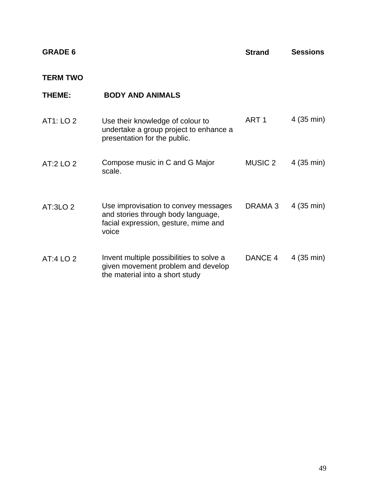| <b>GRADE</b> |  |
|--------------|--|
|--------------|--|

**Sessions Strand** 

## **TERM TWO**

| THEME:              | <b>BODY AND ANIMALS</b>                                                                                                     |                  |            |
|---------------------|-----------------------------------------------------------------------------------------------------------------------------|------------------|------------|
| AT1: LO 2           | Use their knowledge of colour to<br>undertake a group project to enhance a<br>presentation for the public.                  | ART <sub>1</sub> | 4 (35 min) |
| AT:2 LO 2           | Compose music in C and G Major<br>scale.                                                                                    | <b>MUSIC 2</b>   | 4 (35 min) |
| AT:3LO <sub>2</sub> | Use improvisation to convey messages<br>and stories through body language,<br>facial expression, gesture, mime and<br>voice | DRAMA 3          | 4 (35 min) |
| AT:4 LO 2           | Invent multiple possibilities to solve a<br>given movement problem and develop<br>the material into a short study           | DANCE 4          | 4 (35 min) |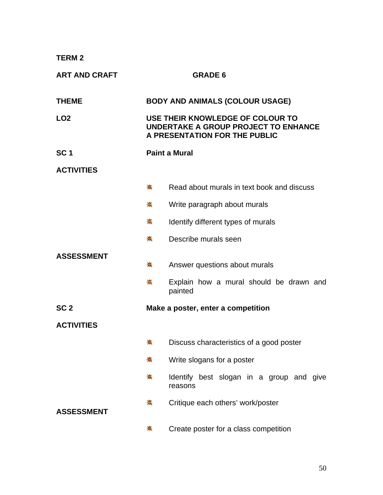**TERM 2** 

| <b>ART AND CRAFT</b> |                      | <b>GRADE 6</b>                                                                                            |  |  |
|----------------------|----------------------|-----------------------------------------------------------------------------------------------------------|--|--|
| <b>THEME</b>         |                      | <b>BODY AND ANIMALS (COLOUR USAGE)</b>                                                                    |  |  |
| LO <sub>2</sub>      |                      | USE THEIR KNOWLEDGE OF COLOUR TO<br>UNDERTAKE A GROUP PROJECT TO ENHANCE<br>A PRESENTATION FOR THE PUBLIC |  |  |
| SC <sub>1</sub>      | <b>Paint a Mural</b> |                                                                                                           |  |  |
| <b>ACTIVITIES</b>    |                      |                                                                                                           |  |  |
|                      | ☀                    | Read about murals in text book and discuss                                                                |  |  |
|                      | ☀                    | Write paragraph about murals                                                                              |  |  |
|                      | 兼                    | Identify different types of murals                                                                        |  |  |
|                      | ♣                    | Describe murals seen                                                                                      |  |  |
| <b>ASSESSMENT</b>    | 崇                    | Answer questions about murals                                                                             |  |  |
|                      | ♣.<br>painted        | Explain how a mural should be drawn and                                                                   |  |  |
| SC <sub>2</sub>      |                      | Make a poster, enter a competition                                                                        |  |  |
| <b>ACTIVITIES</b>    |                      |                                                                                                           |  |  |
|                      | 픟                    | Discuss characteristics of a good poster                                                                  |  |  |
|                      | ☀                    | Write slogans for a poster                                                                                |  |  |
|                      | 壳<br>reasons         | Identify best slogan in a group and give                                                                  |  |  |
| <b>ASSESSMENT</b>    | 帯                    | Critique each others' work/poster                                                                         |  |  |
|                      | 壳                    | Create poster for a class competition                                                                     |  |  |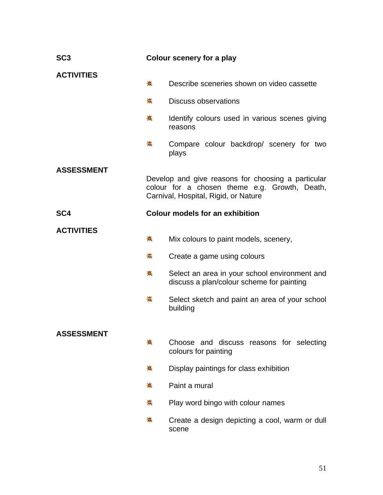| SC <sub>3</sub>   | Colour scenery for a play              |                                                                                                                                             |
|-------------------|----------------------------------------|---------------------------------------------------------------------------------------------------------------------------------------------|
| <b>ACTIVITIES</b> | $\clubsuit$                            | Describe sceneries shown on video cassette                                                                                                  |
|                   | $\clubsuit$                            | <b>Discuss observations</b>                                                                                                                 |
|                   | 崟                                      | Identify colours used in various scenes giving<br>reasons                                                                                   |
|                   | ♣                                      | Compare colour backdrop/ scenery for two<br>plays                                                                                           |
| <b>ASSESSMENT</b> |                                        |                                                                                                                                             |
|                   |                                        | Develop and give reasons for choosing a particular<br>colour for a chosen theme e.g. Growth, Death,<br>Carnival, Hospital, Rigid, or Nature |
| SC <sub>4</sub>   | <b>Colour models for an exhibition</b> |                                                                                                                                             |
| <b>ACTIVITIES</b> | ♣                                      | Mix colours to paint models, scenery,                                                                                                       |
|                   | 兼                                      | Create a game using colours                                                                                                                 |
|                   | ₩.                                     | Select an area in your school environment and<br>discuss a plan/colour scheme for painting                                                  |
|                   | ♣                                      | Select sketch and paint an area of your school<br>building                                                                                  |
|                   |                                        |                                                                                                                                             |
| <b>ASSESSMENT</b> | 稁                                      | Choose and discuss reasons for selecting<br>colours for painting                                                                            |
|                   | 壳                                      | Display paintings for class exhibition                                                                                                      |
|                   | $\frac{1}{2}$                          | Paint a mural                                                                                                                               |
|                   | 斋                                      | Play word bingo with colour names                                                                                                           |
|                   | 豪                                      | Create a design depicting a cool, warm or dull<br>scene                                                                                     |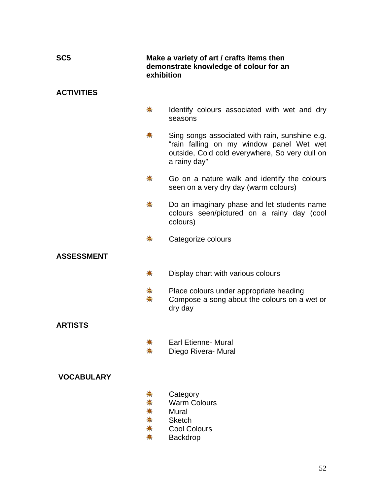| SC <sub>5</sub>   | Make a variety of art / crafts items then<br>demonstrate knowledge of colour for an<br>exhibition |                                                                                                                                                              |
|-------------------|---------------------------------------------------------------------------------------------------|--------------------------------------------------------------------------------------------------------------------------------------------------------------|
| <b>ACTIVITIES</b> |                                                                                                   |                                                                                                                                                              |
|                   | ♣                                                                                                 | Identify colours associated with wet and dry<br>seasons                                                                                                      |
|                   | ◆                                                                                                 | Sing songs associated with rain, sunshine e.g.<br>"rain falling on my window panel Wet wet<br>outside, Cold cold everywhere, So very dull on<br>a rainy day" |
|                   | 来                                                                                                 | Go on a nature walk and identify the colours<br>seen on a very dry day (warm colours)                                                                        |
|                   | ♣                                                                                                 | Do an imaginary phase and let students name<br>colours seen/pictured on a rainy day (cool<br>colours)                                                        |
|                   | ♣                                                                                                 | Categorize colours                                                                                                                                           |
| <b>ASSESSMENT</b> |                                                                                                   |                                                                                                                                                              |
|                   | 壳                                                                                                 | Display chart with various colours                                                                                                                           |
|                   | 耒<br>$\clubsuit$                                                                                  | Place colours under appropriate heading<br>Compose a song about the colours on a wet or<br>dry day                                                           |
| <b>ARTISTS</b>    |                                                                                                   |                                                                                                                                                              |
|                   |                                                                                                   | <b>Earl Etienne- Mural</b><br>Diego Rivera- Mural                                                                                                            |
| <b>VOCABULARY</b> |                                                                                                   |                                                                                                                                                              |
|                   | 훞<br>菷<br>☀<br>₩<br>₩<br>☀                                                                        | Category<br><b>Warm Colours</b><br>Mural<br><b>Sketch</b><br><b>Cool Colours</b><br><b>Backdrop</b>                                                          |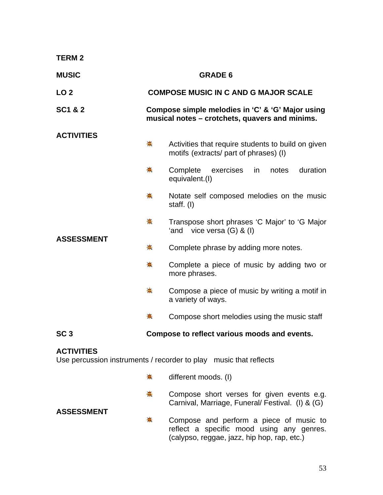| <b>TERM2</b>                                                                           |                                                                                                    |                                                                                                |  |  |  |
|----------------------------------------------------------------------------------------|----------------------------------------------------------------------------------------------------|------------------------------------------------------------------------------------------------|--|--|--|
| <b>MUSIC</b>                                                                           | <b>GRADE 6</b>                                                                                     |                                                                                                |  |  |  |
| LO <sub>2</sub>                                                                        |                                                                                                    | <b>COMPOSE MUSIC IN C AND G MAJOR SCALE</b>                                                    |  |  |  |
| <b>SC1 &amp; 2</b>                                                                     | Compose simple melodies in 'C' & 'G' Major using<br>musical notes - crotchets, quavers and minims. |                                                                                                |  |  |  |
| <b>ACTIVITIES</b>                                                                      | $\frac{1}{2}$                                                                                      | Activities that require students to build on given<br>motifs (extracts/ part of phrases) (I)   |  |  |  |
| <b>ASSESSMENT</b>                                                                      | $\clubsuit$                                                                                        | Complete<br>duration<br>exercises<br>notes<br>in<br>equivalent.(I)                             |  |  |  |
|                                                                                        | 崙                                                                                                  | Notate self composed melodies on the music<br>staff. (I)                                       |  |  |  |
|                                                                                        | 兼                                                                                                  | Transpose short phrases 'C Major' to 'G Major<br>vice versa $(G)$ & $(I)$<br>'and              |  |  |  |
|                                                                                        | 秦                                                                                                  | Complete phrase by adding more notes.                                                          |  |  |  |
|                                                                                        | 兼                                                                                                  | Complete a piece of music by adding two or<br>more phrases.                                    |  |  |  |
|                                                                                        | $\frac{1}{2}$                                                                                      | Compose a piece of music by writing a motif in<br>a variety of ways.                           |  |  |  |
|                                                                                        | 壳                                                                                                  | Compose short melodies using the music staff                                                   |  |  |  |
| SC <sub>3</sub>                                                                        |                                                                                                    | Compose to reflect various moods and events.                                                   |  |  |  |
| <b>ACTIVITIES</b><br>Use percussion instruments / recorder to play music that reflects |                                                                                                    |                                                                                                |  |  |  |
|                                                                                        | 帯                                                                                                  | different moods. (I)                                                                           |  |  |  |
| <b>ASSESSMENT</b>                                                                      | ♣.                                                                                                 | Compose short verses for given events e.g.<br>Carnival, Marriage, Funeral/ Festival. (I) & (G) |  |  |  |

美 Compose and perform a piece of music to reflect a specific mood using any genres. (calypso, reggae, jazz, hip hop, rap, etc.)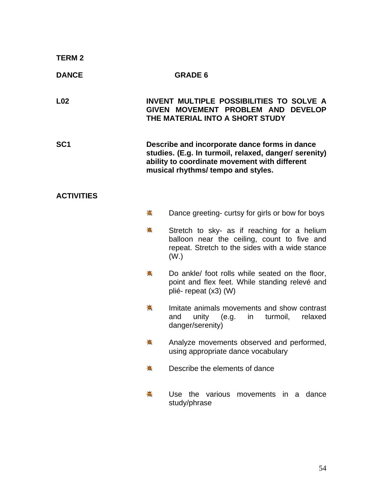| <b>TERM2</b>      |    |                                                                                                                                                                                               |
|-------------------|----|-----------------------------------------------------------------------------------------------------------------------------------------------------------------------------------------------|
| <b>DANCE</b>      |    | <b>GRADE 6</b>                                                                                                                                                                                |
| L <sub>02</sub>   |    | INVENT MULTIPLE POSSIBILITIES TO SOLVE A<br>GIVEN MOVEMENT PROBLEM AND DEVELOP<br>THE MATERIAL INTO A SHORT STUDY                                                                             |
| SC <sub>1</sub>   |    | Describe and incorporate dance forms in dance<br>studies. (E.g. In turmoil, relaxed, danger/ serenity)<br>ability to coordinate movement with different<br>musical rhythms/ tempo and styles. |
| <b>ACTIVITIES</b> |    |                                                                                                                                                                                               |
|                   | ☀  | Dance greeting- curtsy for girls or bow for boys                                                                                                                                              |
|                   | ♣  | Stretch to sky- as if reaching for a helium<br>balloon near the ceiling, count to five and<br>repeat. Stretch to the sides with a wide stance<br>(W <sub>1</sub> )                            |
|                   | 豪  | Do ankle/ foot rolls while seated on the floor,<br>point and flex feet. While standing relevé and<br>plié-repeat (x3) (W)                                                                     |
|                   | 帯  | Imitate animals movements and show contrast<br>unity $(e.g.$<br>turmoil,<br>relaxed<br>and<br>$\mathsf{in}$<br>danger/serenity)                                                               |
|                   | 豪  | Analyze movements observed and performed,<br>using appropriate dance vocabulary                                                                                                               |
|                   | 豪  | Describe the elements of dance                                                                                                                                                                |
|                   | ♣. | Use the various<br>movements in a dance<br>study/phrase                                                                                                                                       |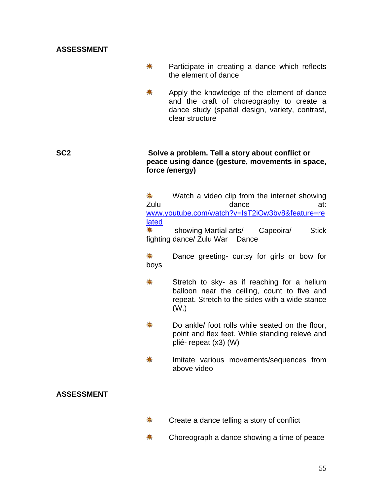### **ASSESSMENT**

- ☀. Participate in creating a dance which reflects the element of dance
- 寨 Apply the knowledge of the element of dance and the craft of choreography to create a dance study (spatial design, variety, contrast, clear structure

#### **SC2 Solve a problem. Tell a story about conflict or peace using dance (gesture, movements in space, force /energy)**

兼. Watch a video clip from the internet showing Zulu dance at: [www.youtube.com/watch?v=IsT2iOw3bv8&feature=re](http://www.youtube.com/watch?v=IsT2iOw3bv8&feature=related) [lated](http://www.youtube.com/watch?v=IsT2iOw3bv8&feature=related)

亲. showing Martial arts/ Capeoira/ Stick fighting dance/ Zulu War Dance

☀. Dance greeting- curtsy for girls or bow for boys

- 兼 Stretch to sky- as if reaching for a helium balloon near the ceiling, count to five and repeat. Stretch to the sides with a wide stance (W.)
- ₩. Do ankle/ foot rolls while seated on the floor, point and flex feet. While standing relevé and plié- repeat (x3) (W)
- <del>☀</del> Imitate various movements/sequences from above video

## **ASSESSMENT**

- 寨 Create a dance telling a story of conflict
- ₩. Choreograph a dance showing a time of peace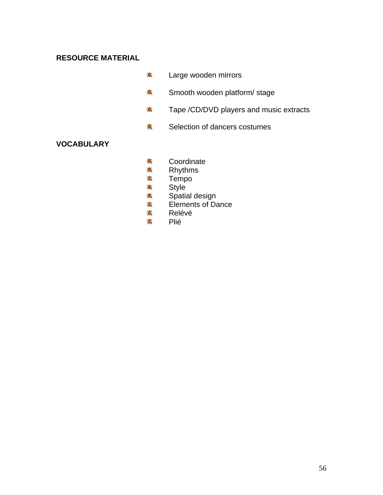# **RESOURCE MATERIAL**

- Large wooden mirrors 兼
- ₩. Smooth wooden platform/ stage
- Tape /CD/DVD players and music extracts ₩.
- Selection of dancers costumes 斋

## **VOCABULARY**

- ₩. **Coordinate**
- \* Rhythms
- 秦 Tempo
- \* **Style**
- ₩. Spatial design
- \* Elements of Dance
- 兼 Relévé
- \* Plié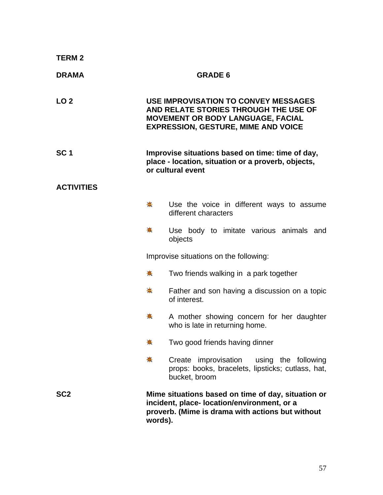| <b>TERM2</b>      |                                                                                                                                                                                |
|-------------------|--------------------------------------------------------------------------------------------------------------------------------------------------------------------------------|
| <b>DRAMA</b>      | <b>GRADE 6</b>                                                                                                                                                                 |
| LO <sub>2</sub>   | <b>USE IMPROVISATION TO CONVEY MESSAGES</b><br>AND RELATE STORIES THROUGH THE USE OF<br><b>MOVEMENT OR BODY LANGUAGE, FACIAL</b><br><b>EXPRESSION, GESTURE, MIME AND VOICE</b> |
| SC <sub>1</sub>   | Improvise situations based on time: time of day,<br>place - location, situation or a proverb, objects,<br>or cultural event                                                    |
| <b>ACTIVITIES</b> |                                                                                                                                                                                |
|                   | ₩.<br>Use the voice in different ways to assume<br>different characters                                                                                                        |
|                   | ♣<br>Use body to imitate various animals and<br>objects                                                                                                                        |
|                   | Improvise situations on the following:                                                                                                                                         |
|                   | ₩.<br>Two friends walking in a park together                                                                                                                                   |
|                   | ₩.<br>Father and son having a discussion on a topic<br>of interest.                                                                                                            |
|                   | 豪<br>A mother showing concern for her daughter<br>who is late in returning home.                                                                                               |
|                   | 帯<br>Two good friends having dinner                                                                                                                                            |
|                   | ♣<br>Create improvisation<br>using the following<br>props: books, bracelets, lipsticks; cutlass, hat,<br>bucket, broom                                                         |
| SC <sub>2</sub>   | Mime situations based on time of day, situation or<br>incident, place- location/environment, or a<br>proverb. (Mime is drama with actions but without<br>words).               |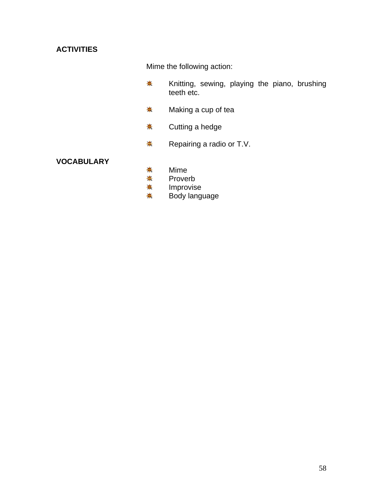Mime the following action:

- \* Knitting, sewing, playing the piano, brushing teeth etc.
- $\frac{1}{2}$ Making a cup of tea
- Cutting a hedge 斋.
- \* Repairing a radio or T.V.

## **VOCABULARY**

- ₩. Mime
- \* Proverb
- \* Improvise
- $\frac{1}{2}$ Body language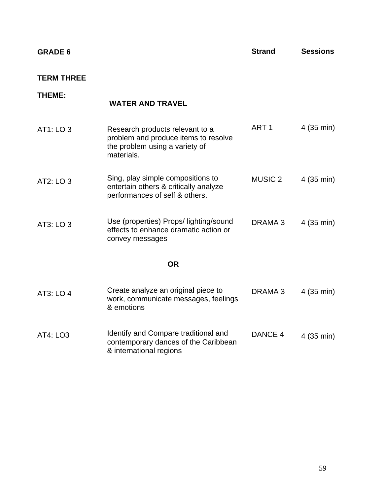| <b>GRADE</b> |  |
|--------------|--|
|--------------|--|

**Strand Sessions** 

#### **TERM THREE**

# **THEME:** AT1: LO 3 AT2: LO 3 AT3: LO 3 AT3: LO 4  **WATER AND TRAVEL** Research products relevant to a **ART 1** 4 (35 min) problem and produce items to resolve the problem using a variety of materials. Sing, play simple compositions to entertain others & critically analyze MUSIC 2 4 (35 min) performances of self & others. Use (properties) Props/ lighting/sound effects to enhance dramatic action or convey messages DRAMA 3 4 (35 min) **OR**  Create analyze an original piece to work, communicate messages, feelings & emotions DRAMA 3 4 (35 min) AT4: LO3 Identify and Compare traditional and DANCE 4 4 (35 min) contemporary dances of the Caribbean & international regions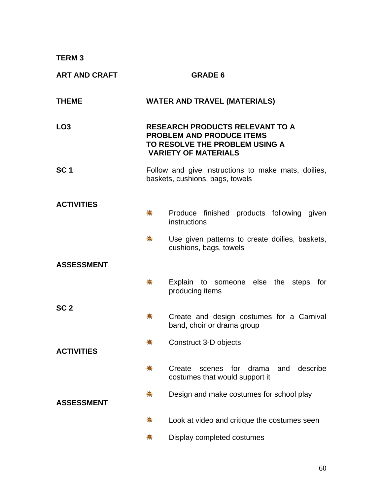**TERM 3** 

| <b>ART AND CRAFT</b> |             | <b>GRADE 6</b>                                                                                                                              |
|----------------------|-------------|---------------------------------------------------------------------------------------------------------------------------------------------|
| <b>THEME</b>         |             | <b>WATER AND TRAVEL (MATERIALS)</b>                                                                                                         |
| LO <sub>3</sub>      |             | <b>RESEARCH PRODUCTS RELEVANT TO A</b><br><b>PROBLEM AND PRODUCE ITEMS</b><br>TO RESOLVE THE PROBLEM USING A<br><b>VARIETY OF MATERIALS</b> |
| SC <sub>1</sub>      |             | Follow and give instructions to make mats, doilies,<br>baskets, cushions, bags, towels                                                      |
| <b>ACTIVITIES</b>    | $\clubsuit$ | Produce finished products following given<br>instructions                                                                                   |
|                      | ₩.          | Use given patterns to create doilies, baskets,<br>cushions, bags, towels                                                                    |
| <b>ASSESSMENT</b>    |             |                                                                                                                                             |
|                      | ——第一        | Explain to someone else the steps for<br>producing items                                                                                    |
| SC <sub>2</sub>      | 姜           | Create and design costumes for a Carnival<br>band, choir or drama group                                                                     |
| <b>ACTIVITIES</b>    |             | Construct 3-D objects                                                                                                                       |
|                      | 畫           | Create<br>for<br>describe<br>drama<br>and<br>scenes<br>costumes that would support it                                                       |
| <b>ASSESSMENT</b>    | ♣.          | Design and make costumes for school play                                                                                                    |
|                      | 豪           | Look at video and critique the costumes seen                                                                                                |
|                      | ₩           | Display completed costumes                                                                                                                  |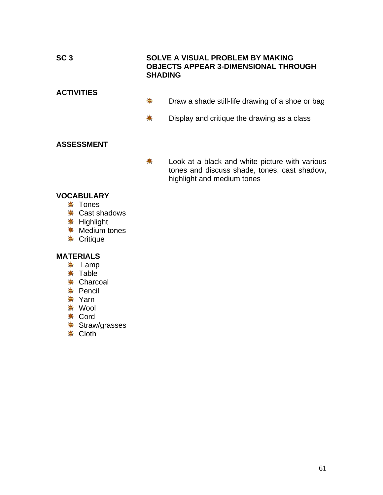# **SC 3 SOLVE A VISUAL PROBLEM BY MAKING OBJECTS APPEAR 3-DIMENSIONAL THROUGH SHADING ACTIVITIES**  卷 Draw a shade still-life drawing of a shoe or bag

卷 Display and critique the drawing as a class

## **ASSESSMENT**

兼 Look at a black and white picture with various tones and discuss shade, tones, cast shadow, highlight and medium tones

### **VOCABULARY**

- **<del>☀</del>** Tones
- **※ Cast shadows**
- **※ Highlight**
- **Medium tones**
- **<del></del> Critique**

### **MATERIALS**

- \* Lamp
- $\ddot{\bullet}$  **Table**
- **<del></del> Charcoal**
- **\* Pencil**
- \* Yarn
- $*$  Wool
- **<del></del>** Cord
- **<del>≢</del>** Straw/grasses
- **☀ Cloth**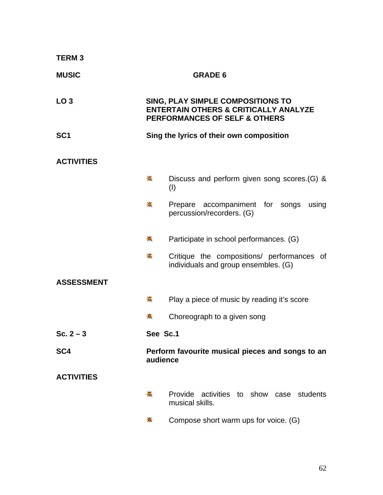| <b>TERM3</b>      |          |                                                                                                                                          |
|-------------------|----------|------------------------------------------------------------------------------------------------------------------------------------------|
| <b>MUSIC</b>      |          | <b>GRADE 6</b>                                                                                                                           |
| LO <sub>3</sub>   |          | <b>SING, PLAY SIMPLE COMPOSITIONS TO</b><br><b>ENTERTAIN OTHERS &amp; CRITICALLY ANALYZE</b><br><b>PERFORMANCES OF SELF &amp; OTHERS</b> |
| SC <sub>1</sub>   |          | Sing the lyrics of their own composition                                                                                                 |
| <b>ACTIVITIES</b> |          |                                                                                                                                          |
|                   | 秦        | Discuss and perform given song scores. (G) &<br>(1)                                                                                      |
|                   | ♣.       | Prepare accompaniment for songs<br>using<br>percussion/recorders. (G)                                                                    |
|                   | ♣.       | Participate in school performances. (G)                                                                                                  |
|                   | 壳        | Critique the compositions/ performances of<br>individuals and group ensembles. (G)                                                       |
| <b>ASSESSMENT</b> |          |                                                                                                                                          |
|                   | 壳        | Play a piece of music by reading it's score                                                                                              |
|                   | ♣        | Choreograph to a given song                                                                                                              |
| Sc. $2 - 3$       | See Sc.1 |                                                                                                                                          |
| SC <sub>4</sub>   | audience | Perform favourite musical pieces and songs to an                                                                                         |
| <b>ACTIVITIES</b> |          |                                                                                                                                          |
|                   | 柰        | Provide activities to show case students<br>musical skills.                                                                              |
|                   | 帯        | Compose short warm ups for voice. (G)                                                                                                    |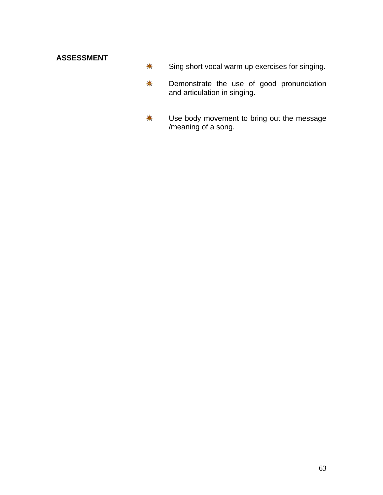# **ASSESSMENT**

- $\frac{1}{2}$ Sing short vocal warm up exercises for singing.
- \* Demonstrate the use of good pronunciation and articulation in singing.
- \* Use body movement to bring out the message /meaning of a song.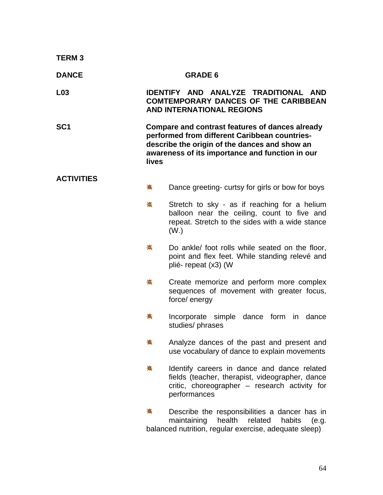| <b>TERM3</b>      |       |                                                                                                                                                                                                      |
|-------------------|-------|------------------------------------------------------------------------------------------------------------------------------------------------------------------------------------------------------|
| <b>DANCE</b>      |       | <b>GRADE 6</b>                                                                                                                                                                                       |
| L <sub>03</sub>   |       | IDENTIFY AND ANALYZE TRADITIONAL AND<br><b>COMTEMPORARY DANCES OF THE CARIBBEAN</b><br><b>AND INTERNATIONAL REGIONS</b>                                                                              |
| SC <sub>1</sub>   | lives | Compare and contrast features of dances already<br>performed from different Caribbean countries-<br>describe the origin of the dances and show an<br>awareness of its importance and function in our |
| <b>ACTIVITIES</b> | ♣     | Dance greeting- curtsy for girls or bow for boys                                                                                                                                                     |
|                   |       |                                                                                                                                                                                                      |
|                   | ♣     | Stretch to sky - as if reaching for a helium<br>balloon near the ceiling, count to five and<br>repeat. Stretch to the sides with a wide stance<br>(W <sub>1</sub> )                                  |
|                   | ♣.    | Do ankle/ foot rolls while seated on the floor,<br>point and flex feet. While standing relevé and<br>plié-repeat (x3) (W                                                                             |
|                   | 壳     | Create memorize and perform more complex<br>sequences of movement with greater focus,<br>force/ energy                                                                                               |
|                   | 豪     | Incorporate simple dance form in<br>dance<br>studies/ phrases                                                                                                                                        |
|                   | ₩     | Analyze dances of the past and present and<br>use vocabulary of dance to explain movements                                                                                                           |
|                   | ◆     | Identify careers in dance and dance related<br>fields (teacher, therapist, videographer, dance<br>critic, choreographer - research activity for<br>performances                                      |
|                   | 壳     | Describe the responsibilities a dancer has in<br>maintaining<br>health<br>related<br>habits<br>(e.g.<br>balanced nutrition, regular exercise, adequate sleep)                                        |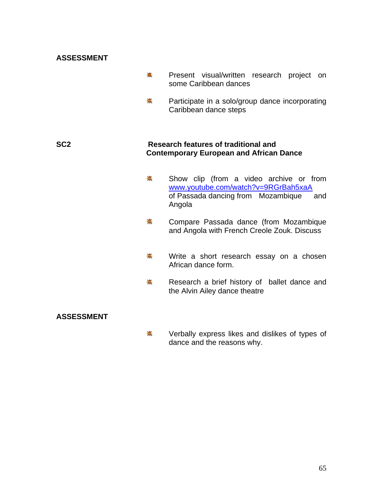#### **ASSESSMENT**

- 卷 Present visual/written research project on some Caribbean dances
- 柰. Participate in a solo/group dance incorporating Caribbean dance steps

#### **SC2 Research features of traditional and Contemporary European and African Dance**

- 卷 Show clip (from a video archive or from [www.youtube.com/watch?v=9RGrBah5xaA](http://www.youtube.com/watch?v=9RGrBah5xaA) of Passada dancing from Mozambique and Angola
- ☀. Compare Passada dance (from Mozambique and Angola with French Creole Zouk. Discuss
- ₩. Write a short research essay on a chosen African dance form.
- 兼 Research a brief history of ballet dance and the Alvin Ailey dance theatre

#### **ASSESSMENT**

₩. Verbally express likes and dislikes of types of dance and the reasons why.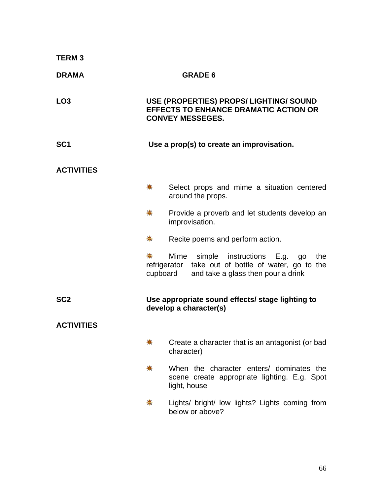| <b>TERM3</b>      |             |                |                                                                                                                               |  |     |
|-------------------|-------------|----------------|-------------------------------------------------------------------------------------------------------------------------------|--|-----|
| <b>DRAMA</b>      |             |                | <b>GRADE 6</b>                                                                                                                |  |     |
| LO <sub>3</sub>   |             |                | USE (PROPERTIES) PROPS/ LIGHTING/ SOUND<br><b>EFFECTS TO ENHANCE DRAMATIC ACTION OR</b><br><b>CONVEY MESSEGES.</b>            |  |     |
| SC <sub>1</sub>   |             |                | Use a prop(s) to create an improvisation.                                                                                     |  |     |
| <b>ACTIVITIES</b> |             |                |                                                                                                                               |  |     |
|                   | $\clubsuit$ |                | Select props and mime a situation centered<br>around the props.                                                               |  |     |
|                   | ☀           | improvisation. | Provide a proverb and let students develop an                                                                                 |  |     |
|                   | ♣.          |                | Recite poems and perform action.                                                                                              |  |     |
|                   | 赛           | cupboard       | Mime simple instructions E.g. go<br>refrigerator take out of bottle of water, go to the<br>and take a glass then pour a drink |  | the |
| SC <sub>2</sub>   |             |                | Use appropriate sound effects/ stage lighting to<br>develop a character(s)                                                    |  |     |
| <b>ACTIVITIES</b> |             |                |                                                                                                                               |  |     |
|                   | 壳           | character)     | Create a character that is an antagonist (or bad                                                                              |  |     |
|                   | 壳           | light, house   | When the character enters/ dominates the<br>scene create appropriate lighting. E.g. Spot                                      |  |     |
|                   | 帯           |                | Lights/ bright/ low lights? Lights coming from<br>below or above?                                                             |  |     |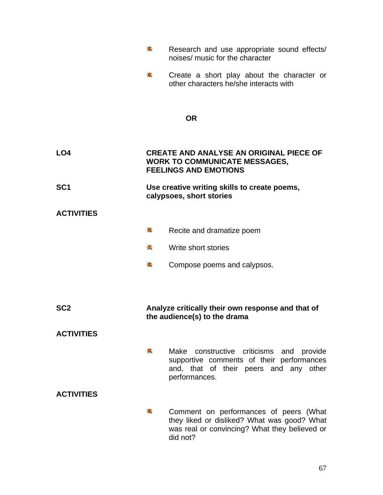|                   | ◆ | Research and use appropriate sound effects/<br>noises/ music for the character                                                                     |
|-------------------|---|----------------------------------------------------------------------------------------------------------------------------------------------------|
|                   | ₩ | Create a short play about the character or<br>other characters he/she interacts with                                                               |
|                   |   | <b>OR</b>                                                                                                                                          |
| LO4               |   | <b>CREATE AND ANALYSE AN ORIGINAL PIECE OF</b><br><b>WORK TO COMMUNICATE MESSAGES,</b><br><b>FEELINGS AND EMOTIONS</b>                             |
| SC <sub>1</sub>   |   | Use creative writing skills to create poems,<br>calypsoes, short stories                                                                           |
| <b>ACTIVITIES</b> |   |                                                                                                                                                    |
|                   | ♣ | Recite and dramatize poem                                                                                                                          |
|                   | 豪 | Write short stories                                                                                                                                |
|                   | 豪 | Compose poems and calypsos.                                                                                                                        |
|                   |   |                                                                                                                                                    |
| SC <sub>2</sub>   |   | Analyze critically their own response and that of<br>the audience(s) to the drama                                                                  |
| <b>ACTIVITIES</b> |   |                                                                                                                                                    |
|                   | ₩ | Make constructive criticisms and provide<br>supportive comments of their performances<br>and, that of their peers and any other<br>performances.   |
| <b>ACTIVITIES</b> |   |                                                                                                                                                    |
|                   | ₩ | Comment on performances of peers (What<br>they liked or disliked? What was good? What<br>was real or convincing? What they believed or<br>did not? |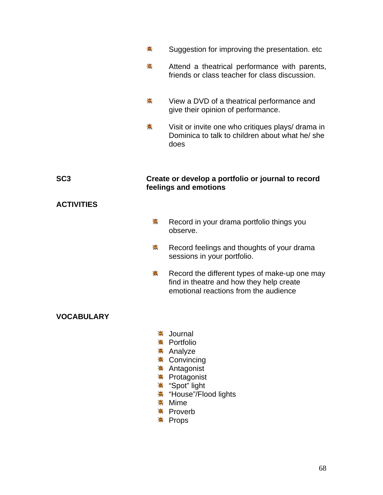|                   | 帯                | Suggestion for improving the presentation. etc.                                                                                                             |
|-------------------|------------------|-------------------------------------------------------------------------------------------------------------------------------------------------------------|
|                   | ₩.               | Attend a theatrical performance with parents,<br>friends or class teacher for class discussion.                                                             |
|                   | ☀                | View a DVD of a theatrical performance and<br>give their opinion of performance.                                                                            |
|                   | 斋                | Visit or invite one who critiques plays/ drama in<br>Dominica to talk to children about what he/ she<br>does                                                |
| SC <sub>3</sub>   |                  | Create or develop a portfolio or journal to record<br>feelings and emotions                                                                                 |
| <b>ACTIVITIES</b> |                  |                                                                                                                                                             |
|                   | ♣                | Record in your drama portfolio things you<br>observe.                                                                                                       |
|                   | ♣.               | Record feelings and thoughts of your drama<br>sessions in your portfolio.                                                                                   |
|                   | ₩                | Record the different types of make-up one may<br>find in theatre and how they help create<br>emotional reactions from the audience                          |
| <b>VOCABULARY</b> |                  |                                                                                                                                                             |
|                   | 碁<br>₩<br>☀<br>耒 | Journal<br>Portfolio<br>Analyze<br>Convincing<br><b>☀ Antagonist</b><br>Protagonist<br>☀ "Spot" light<br>☀ "House"/Flood lights<br>Mime<br><b>☀ Proverb</b> |

Props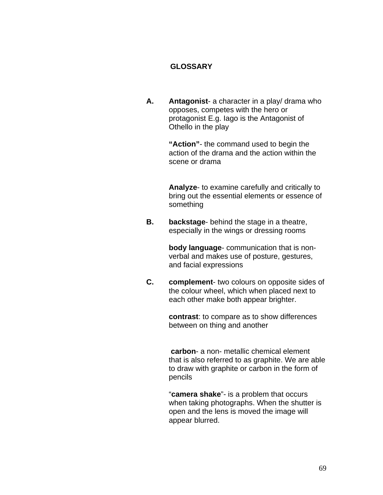### **GLOSSARY**

**A. Antagonist**- a character in a play/ drama who opposes, competes with the hero or protagonist E.g. Iago is the Antagonist of Othello in the play

> **"Action"**- the command used to begin the action of the drama and the action within the scene or drama

 **Analyze**- to examine carefully and critically to bring out the essential elements or essence of something

**B. backstage**- behind the stage in a theatre, especially in the wings or dressing rooms

> **body language**- communication that is nonverbal and makes use of posture, gestures, and facial expressions

**C. complement**- two colours on opposite sides of the colour wheel, which when placed next to each other make both appear brighter.

> **contrast**: to compare as to show differences between on thing and another

 **carbon**- a non- metallic chemical element that is also referred to as graphite. We are able to draw with graphite or carbon in the form of pencils

"**camera shake**"- is a problem that occurs when taking photographs. When the shutter is open and the lens is moved the image will appear blurred.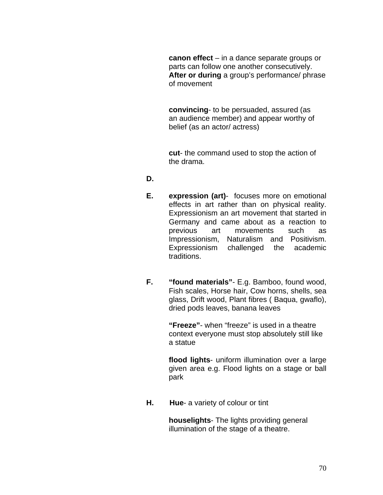**canon effect** – in a dance separate groups or parts can follow one another consecutively. **After or during** a group's performance/ phrase of movement

 **convincing**- to be persuaded, assured (as an audience member) and appear worthy of belief (as an actor/ actress)

 **cut**- the command used to stop the action of the drama.

### **D.**

- **E. expression (art)** focuses more on emotional effects in art rather than on physical reality. Expressionism an art movement that started in Germany and came about as a reaction to previous art movements such as Impressionism, Naturalism and Positivism. Expressionism challenged the academic traditions.
- **F. "found materials"** E.g. Bamboo, found wood, Fish scales, Horse hair, Cow horns, shells, sea glass, Drift wood, Plant fibres ( Baqua, gwaflo), dried pods leaves, banana leaves

 **"Freeze"**- when "freeze" is used in a theatre context everyone must stop absolutely still like a statue

**flood lights**- uniform illumination over a large given area e.g. Flood lights on a stage or ball park

**H. Hue**- a variety of colour or tint

 **houselights**- The lights providing general illumination of the stage of a theatre.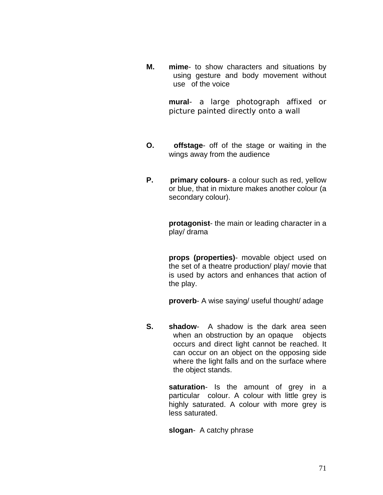**M. mime**- to show characters and situations by using gesture and body movement without use of the voice

> **mural**- a large photograph affixed or picture painted directly onto a wall

- **O. offstage** off of the stage or waiting in the wings away from the audience
- **P.** primary colours- a colour such as red, yellow or blue, that in mixture makes another colour (a secondary colour).

**protagonist**- the main or leading character in a play/ drama

**props (properties)**- movable object used on the set of a theatre production/ play/ movie that is used by actors and enhances that action of the play.

**proverb**- A wise saying/ useful thought/ adage

**S.** shadow- A shadow is the dark area seen when an obstruction by an opaque objects occurs and direct light cannot be reached. It can occur on an object on the opposing side where the light falls and on the surface where the object stands.

> **saturation**- Is the amount of grey in a particular colour. A colour with little grey is highly saturated. A colour with more grey is less saturated.

**slogan**- A catchy phrase